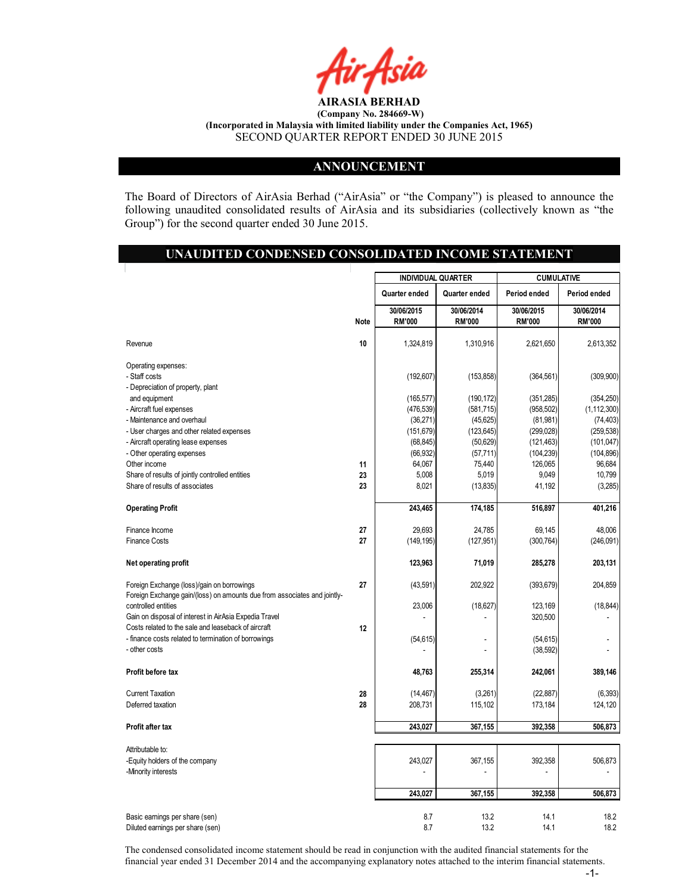

#### ANNOUNCEMENT

The Board of Directors of AirAsia Berhad ("AirAsia" or "the Company") is pleased to announce the following unaudited consolidated results of AirAsia and its subsidiaries (collectively known as "the Group") for the second quarter ended 30 June 2015.

#### UNAUDITED CONDENSED CONSOLIDATED INCOME STATEMENT

|                                                                          |      | <b>INDIVIDUAL QUARTER</b>   |                             | <b>CUMULATIVE</b>           |                             |
|--------------------------------------------------------------------------|------|-----------------------------|-----------------------------|-----------------------------|-----------------------------|
|                                                                          |      | Quarter ended               | Quarter ended               | Period ended                | Period ended                |
|                                                                          | Note | 30/06/2015<br><b>RM'000</b> | 30/06/2014<br><b>RM'000</b> | 30/06/2015<br><b>RM'000</b> | 30/06/2014<br><b>RM'000</b> |
| Revenue                                                                  | 10   | 1,324,819                   | 1,310,916                   | 2,621,650                   | 2,613,352                   |
| Operating expenses:                                                      |      |                             |                             |                             |                             |
| - Staff costs                                                            |      | (192, 607)                  | (153, 858)                  | (364, 561)                  | (309, 900)                  |
| - Depreciation of property, plant                                        |      |                             |                             |                             |                             |
| and equipment                                                            |      | (165, 577)                  | (190, 172)                  | (351, 285)                  | (354, 250)                  |
| - Aircraft fuel expenses                                                 |      | (476, 539)                  | (581, 715)                  | (958, 502)                  | (1, 112, 300)               |
| - Maintenance and overhaul                                               |      | (36, 271)                   | (45, 625)                   | (81, 981)                   | (74, 403)                   |
| - User charges and other related expenses                                |      | (151, 679)                  | (123, 645)                  | (299, 028)                  | (259, 538)                  |
| - Aircraft operating lease expenses                                      |      | (68, 845)                   | (50, 629)                   | (121, 463)                  | (101, 047)                  |
| - Other operating expenses<br>Other income                               | 11   | (66, 932)<br>64,067         | (57, 711)<br>75,440         | (104, 239)<br>126,065       | (104, 896)<br>96,684        |
| Share of results of jointly controlled entities                          | 23   | 5,008                       | 5,019                       | 9,049                       | 10,799                      |
| Share of results of associates                                           | 23   | 8,021                       | (13, 835)                   | 41,192                      | (3,285)                     |
| <b>Operating Profit</b>                                                  |      | 243,465                     | 174,185                     | 516,897                     | 401,216                     |
|                                                                          |      |                             |                             |                             |                             |
| Finance Income                                                           | 27   | 29,693                      | 24,785                      | 69,145                      | 48,006                      |
| <b>Finance Costs</b>                                                     | 27   | (149, 195)                  | (127, 951)                  | (300, 764)                  | (246,091)                   |
| Net operating profit                                                     |      | 123,963                     | 71,019                      | 285,278                     | 203,131                     |
| Foreign Exchange (loss)/gain on borrowings                               | 27   | (43, 591)                   | 202,922                     | (393, 679)                  | 204,859                     |
| Foreign Exchange gain/(loss) on amounts due from associates and jointly- |      |                             |                             |                             |                             |
| controlled entities                                                      |      | 23,006                      | (18,627)                    | 123,169                     | (18, 844)                   |
| Gain on disposal of interest in AirAsia Expedia Travel                   |      |                             |                             | 320,500                     |                             |
| Costs related to the sale and leaseback of aircraft                      | 12   |                             |                             |                             |                             |
| - finance costs related to termination of borrowings<br>- other costs    |      | (54, 615)                   | ä,                          | (54, 615)<br>(38, 592)      |                             |
| Profit before tax                                                        |      | 48,763                      | 255,314                     | 242,061                     | 389,146                     |
|                                                                          |      |                             |                             |                             |                             |
| <b>Current Taxation</b>                                                  | 28   | (14, 467)                   | (3,261)                     | (22, 887)                   | (6, 393)                    |
| Deferred taxation                                                        | 28   | 208,731                     | 115,102                     | 173,184                     | 124,120                     |
| Profit after tax                                                         |      | 243,027                     | 367,155                     | 392,358                     | 506,873                     |
| Attributable to:                                                         |      |                             |                             |                             |                             |
| -Equity holders of the company                                           |      | 243,027                     | 367,155                     | 392,358                     | 506,873                     |
| -Minority interests                                                      |      |                             |                             |                             |                             |
|                                                                          |      | 243,027                     | 367,155                     | 392,358                     | 506,873                     |
|                                                                          |      | 8.7                         |                             |                             |                             |
| Basic earnings per share (sen)<br>Diluted earnings per share (sen)       |      | 8.7                         | 13.2<br>13.2                | 14.1<br>14.1                | 18.2<br>18.2                |

The condensed consolidated income statement should be read in conjunction with the audited financial statements for the financial year ended 31 December 2014 and the accompanying explanatory notes attached to the interim financial statements.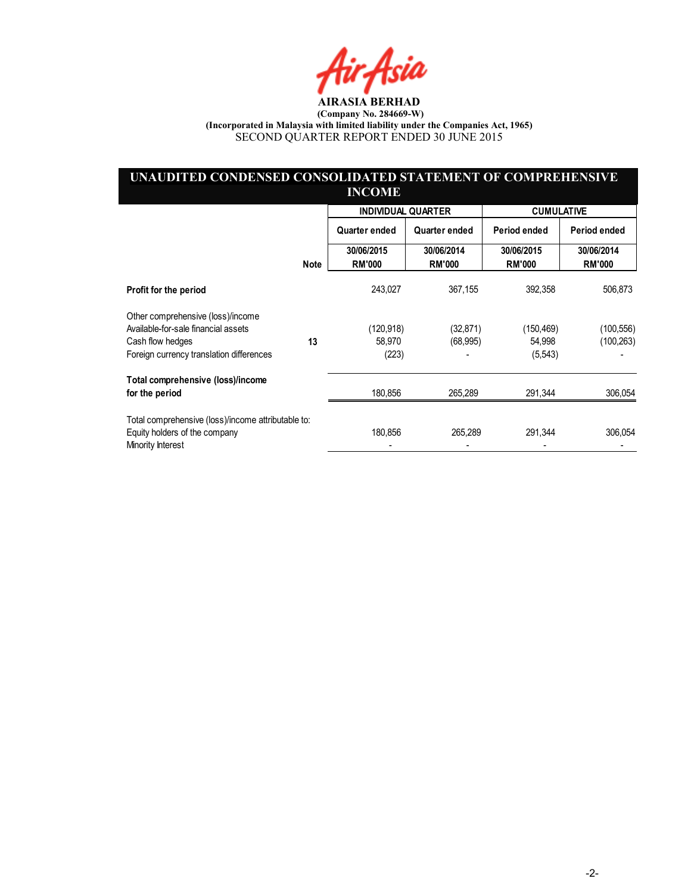fir Asia

## UNAUDITED CONDENSED CONSOLIDATED STATEMENT OF COMPREHENSIVE INCOME

|                                                    |             | <b>INDIVIDUAL QUARTER</b>   |                             | <b>CUMULATIVE</b>           |                             |
|----------------------------------------------------|-------------|-----------------------------|-----------------------------|-----------------------------|-----------------------------|
|                                                    |             | Quarter ended               | Quarter ended               | Period ended                | Period ended                |
|                                                    | <b>Note</b> | 30/06/2015<br><b>RM'000</b> | 30/06/2014<br><b>RM'000</b> | 30/06/2015<br><b>RM'000</b> | 30/06/2014<br><b>RM'000</b> |
| Profit for the period                              |             | 243.027                     | 367,155                     | 392,358                     | 506,873                     |
| Other comprehensive (loss)/income                  |             |                             |                             |                             |                             |
| Available-for-sale financial assets                |             | (120,918)                   | (32,871)                    | (150, 469)                  | (100, 556)                  |
| Cash flow hedges                                   | 13          | 58,970                      | (68, 995)                   | 54,998                      | (100, 263)                  |
| Foreign currency translation differences           |             | (223)                       |                             | (5, 543)                    |                             |
| Total comprehensive (loss)/income                  |             |                             |                             |                             |                             |
| for the period                                     |             | 180,856                     | 265,289                     | 291,344                     | 306,054                     |
| Total comprehensive (loss)/income attributable to: |             |                             |                             |                             |                             |
| Equity holders of the company<br>Minority Interest |             | 180,856                     | 265,289                     | 291,344                     | 306,054                     |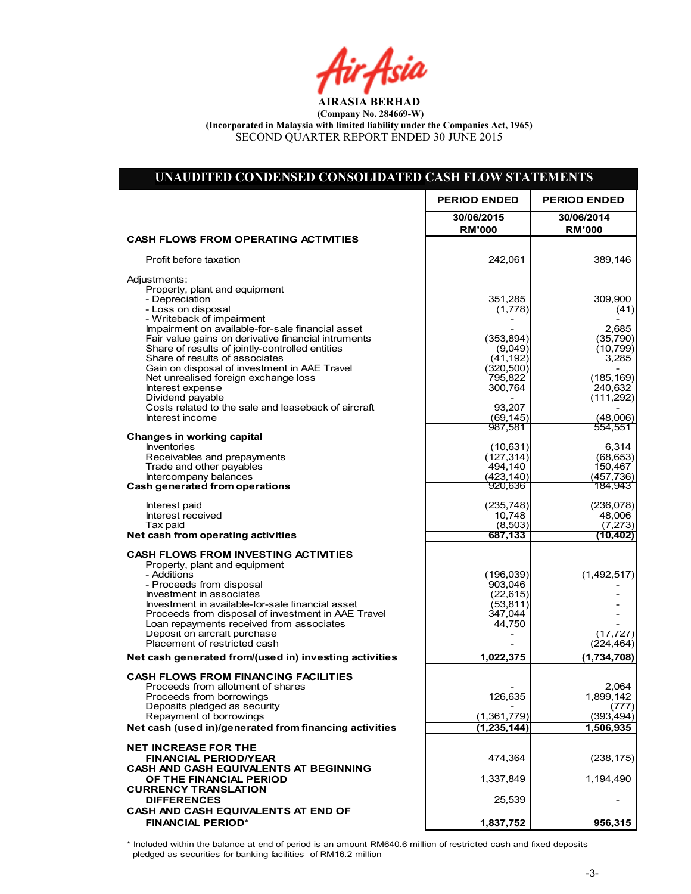Air Asia

| UNAUDITED CONDENSED CONSOLIDATED CASH FLOW STATEMENTS                             |                             |                             |
|-----------------------------------------------------------------------------------|-----------------------------|-----------------------------|
|                                                                                   | <b>PERIOD ENDED</b>         | <b>PERIOD ENDED</b>         |
|                                                                                   | 30/06/2015<br><b>RM'000</b> | 30/06/2014<br><b>RM'000</b> |
| <b>CASH FLOWS FROM OPERATING ACTIVITIES</b>                                       |                             |                             |
| Profit before taxation                                                            | 242,061                     | 389,146                     |
| Adjustments:                                                                      |                             |                             |
| Property, plant and equipment<br>- Depreciation                                   | 351,285                     | 309,900                     |
| - Loss on disposal                                                                | (1,778)                     | (41)                        |
| - Writeback of impairment<br>Impairment on available-for-sale financial asset     |                             | 2,685                       |
| Fair value gains on derivative financial intruments                               | (353, 894)                  | (35, 790)                   |
| Share of results of jointly-controlled entities<br>Share of results of associates | (9,049)<br>(41, 192)        | (10, 799)<br>3,285          |
| Gain on disposal of investment in AAE Travel                                      | (320, 500)                  |                             |
| Net unrealised foreign exchange loss                                              | 795,822                     | (185, 169)                  |
| Interest expense<br>Dividend payable                                              | 300,764                     | 240,632<br>(111, 292)       |
| Costs related to the sale and leaseback of aircraft                               | 93,207                      |                             |
| Interest income                                                                   | (69, 145)<br>987,581        | (48,006)<br>554,551         |
| Changes in working capital                                                        |                             |                             |
| <b>Inventories</b>                                                                | (10, 631)                   | 6,314<br>(68, 653)          |
| Receivables and prepayments<br>Trade and other payables                           | (127, 314)<br>494,140       | 150,467                     |
| Intercompany balances                                                             | (423, 140)                  | (457, 736)                  |
| Cash generated from operations                                                    | 920,636                     | 184,943                     |
| Interest paid                                                                     | (235, 748)                  | (236,078)                   |
| Interest received                                                                 | 10,748                      | 48,006                      |
| Tax paid<br>Net cash from operating activities                                    | (8,503)<br>687,133          | (7, 273)<br>(10, 402)       |
|                                                                                   |                             |                             |
| <b>CASH FLOWS FROM INVESTING ACTIVITIES</b><br>Property, plant and equipment      |                             |                             |
| - Additions                                                                       | (196, 039)                  | (1,492,517)                 |
| - Proceeds from disposal<br>Investment in associates                              | 903,046<br>(22, 615)        |                             |
| Investment in available-for-sale financial asset                                  | (53, 811)                   |                             |
| Proceeds from disposal of investment in AAE Travel                                | 347,044                     |                             |
| Loan repayments received from associates<br>Deposit on aircraft purchase          | 44,750                      | (17, 727)                   |
| Placement of restricted cash                                                      |                             | (224, 464)                  |
| Net cash generated from/(used in) investing activities                            | 1,022,375                   | (1,734,708)                 |
| <b>CASH FLOWS FROM FINANCING FACILITIES</b>                                       |                             |                             |
| Proceeds from allotment of shares                                                 |                             | 2,064                       |
| Proceeds from borrowings<br>Deposits pledged as security                          | 126,635                     | 1,899,142<br>(777)          |
| Repayment of borrowings                                                           | (1,361,779)                 | (393, 494)                  |
| Net cash (used in)/generated from financing activities                            | (1, 235, 144)               | 1,506,935                   |
| <b>NET INCREASE FOR THE</b>                                                       |                             |                             |
| <b>FINANCIAL PERIOD/YEAR</b>                                                      | 474,364                     | (238, 175)                  |
| CASH AND CASH EQUIVALENTS AT BEGINNING                                            |                             |                             |
| OF THE FINANCIAL PERIOD<br><b>CURRENCY TRANSLATION</b>                            | 1,337,849                   | 1,194,490                   |
| <b>DIFFERENCES</b>                                                                | 25,539                      |                             |
| CASH AND CASH EQUIVALENTS AT END OF                                               |                             |                             |
| <b>FINANCIAL PERIOD*</b>                                                          | 1,837,752                   | 956,315                     |

\* Included within the balance at end of period is an amount RM640.6 million of restricted cash and fixed deposits pledged as securities for banking facilities of RM16.2 million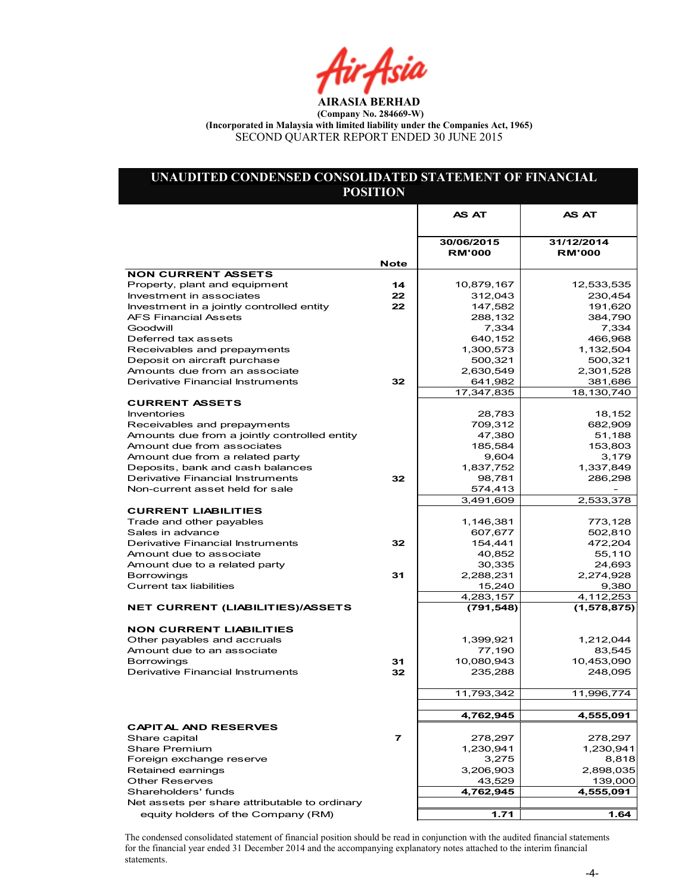Air Asia

## UNAUDITED CONDENSED CONSOLIDATED STATEMENT OF FINANCIAL POSITION

|                                               |                          | <b>AS AT</b>                | <b>AS AT</b>                |
|-----------------------------------------------|--------------------------|-----------------------------|-----------------------------|
|                                               |                          |                             |                             |
|                                               |                          | 30/06/2015<br><b>RM'000</b> | 31/12/2014<br><b>RM'000</b> |
| <b>NON CURRENT ASSETS</b>                     | <b>Note</b>              |                             |                             |
| Property, plant and equipment                 | 14                       | 10,879,167                  | 12,533,535                  |
| Investment in associates                      | 22                       | 312,043                     | 230,454                     |
| Investment in a jointly controlled entity     | 22                       | 147,582                     | 191,620                     |
| <b>AFS Financial Assets</b>                   |                          | 288,132                     | 384,790                     |
| Goodwill                                      |                          | 7,334                       | 7,334                       |
| Deferred tax assets                           |                          | 640,152                     | 466,968                     |
| Receivables and prepayments                   |                          | 1,300,573                   | 1,132,504                   |
| Deposit on aircraft purchase                  |                          | 500,321                     | 500,321                     |
| Amounts due from an associate                 |                          | 2,630,549                   | 2,301,528                   |
| Derivative Financial Instruments              | 32                       | 641,982                     | 381,686                     |
|                                               |                          | 17,347,835                  | 18,130,740                  |
| <b>CURRENT ASSETS</b>                         |                          |                             |                             |
| <b>Inventories</b>                            |                          | 28,783                      | 18,152                      |
| Receivables and prepayments                   |                          | 709,312                     | 682,909                     |
| Amounts due from a jointly controlled entity  |                          | 47,380                      | 51,188                      |
| Amount due from associates                    |                          | 185,584                     | 153,803                     |
| Amount due from a related party               |                          | 9,604                       | 3,179                       |
| Deposits, bank and cash balances              |                          | 1,837,752                   | 1,337,849                   |
| Derivative Financial Instruments              | 32                       | 98,781                      | 286,298                     |
| Non-current asset held for sale               |                          | 574,413                     |                             |
|                                               |                          | 3,491,609                   | 2,533,378                   |
| <b>CURRENT LIABILITIES</b>                    |                          |                             |                             |
| Trade and other payables                      |                          | 1,146,381                   | 773,128                     |
| Sales in advance                              |                          | 607,677                     | 502,810                     |
| Derivative Financial Instruments              | 32                       | 154,441                     | 472,204                     |
| Amount due to associate                       |                          | 40,852                      | 55,110                      |
| Amount due to a related party                 |                          | 30,335                      | 24,693                      |
| <b>Borrowings</b>                             | 31                       | 2,288,231                   | 2,274,928                   |
| Current tax liabilities                       |                          | 15,240                      | 9,380                       |
|                                               |                          | 4,283,157                   | 4,112,253                   |
| <b>NET CURRENT (LIABILITIES)/ASSETS</b>       |                          | (791, 548)                  | (1, 578, 875)               |
| <b>NON CURRENT LIABILITIES</b>                |                          |                             |                             |
| Other pavables and accruals                   |                          | 1,399,921                   | 1,212,044                   |
| Amount due to an associate                    |                          | 77,190                      | 83,545                      |
| <b>Borrowings</b>                             | 31                       | 10,080,943                  | 10,453,090                  |
| Derivative Financial Instruments              | 32                       | 235,288                     | 248,095                     |
|                                               |                          |                             |                             |
|                                               |                          | 11,793,342                  | 11,996,774                  |
|                                               |                          |                             |                             |
|                                               |                          | 4,762,945                   | 4,555,091                   |
| <b>CAPITAL AND RESERVES</b>                   |                          |                             |                             |
| Share capital                                 | $\overline{\phantom{a}}$ | 278,297                     | 278,297                     |
| <b>Share Premium</b>                          |                          | 1,230,941                   | 1,230,941                   |
| Foreign exchange reserve                      |                          | 3,275                       | 8,818                       |
| Retained earnings                             |                          | 3,206,903                   | 2,898,035                   |
| <b>Other Reserves</b>                         |                          | 43,529                      | 139,000                     |
| Shareholders' funds                           |                          | 4,762,945                   | 4,555,091                   |
| Net assets per share attributable to ordinary |                          |                             |                             |
| equity holders of the Company (RM)            |                          | 1.71                        | 1.64                        |

The condensed consolidated statement of financial position should be read in conjunction with the audited financial statements for the financial year ended 31 December 2014 and the accompanying explanatory notes attached to the interim financial statements.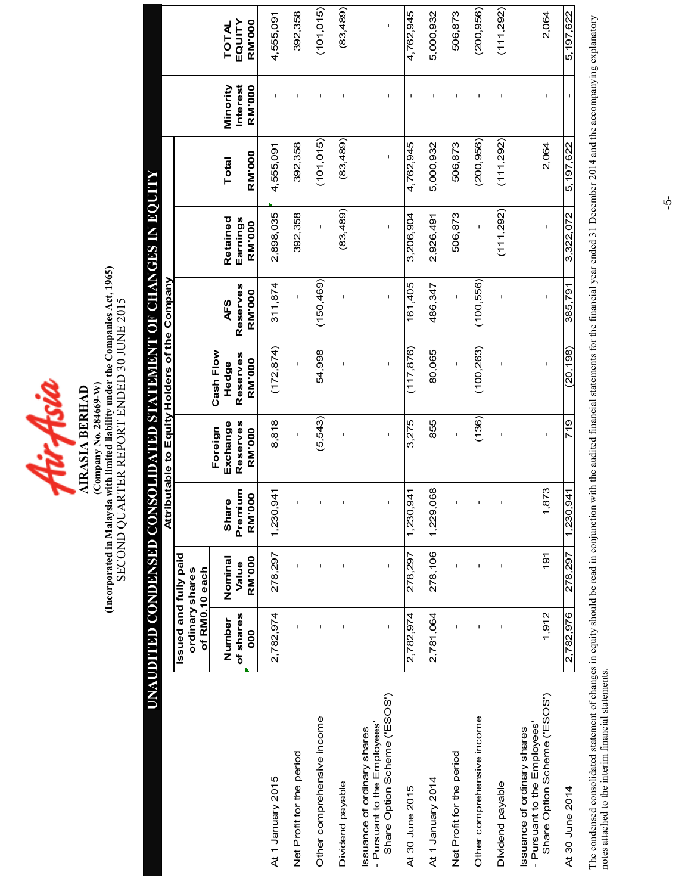

# (Compart in Malaysia with limited liability under the Companies Act, 1965)<br>SECOND QUARTER REPORT ENDED 30 JUNE 2015 (Incorporated in Malaysia with limited liability under the Companies Act, 1965) SECOND QUARTER REPORT ENDED 30 JUNE 2015 (Company No. 284669-W) **AIRASIA BERHAD** AIRASIA BERHAD

|                                                                                             | <b>UNAUDITED CONDENSED CON</b>                             |                            |                                                |                                                  | <b>SOLIDATED STATEMENT OF CHANGES IN EQUITY</b> |                           |                                |                 |                                       |                                         |
|---------------------------------------------------------------------------------------------|------------------------------------------------------------|----------------------------|------------------------------------------------|--------------------------------------------------|-------------------------------------------------|---------------------------|--------------------------------|-----------------|---------------------------------------|-----------------------------------------|
|                                                                                             |                                                            |                            |                                                |                                                  | Attributable to Equity Holders of the Company   |                           |                                |                 |                                       |                                         |
|                                                                                             | Issued and fully paid<br>of RM0.10 each<br>ordinary shares |                            |                                                |                                                  |                                                 |                           |                                |                 |                                       |                                         |
|                                                                                             | of shares<br>Number<br>000                                 | RM'000<br>Nominal<br>Value | Premium<br>$\overline{6}$<br>Ø<br>Shar<br>RM'O | Reserves<br>Exchange<br>Foreign<br><b>RM'000</b> | Cash Flow<br>Reserves<br><b>RM'000</b><br>Hedge | Reserves<br>RM'000<br>AFS | Retained<br>Earnings<br>RM'000 | RM'000<br>Total | Minority<br>Interest<br><b>RM'000</b> | EQUITY<br><b>RM'000</b><br><b>TOTAL</b> |
| At 1 January 2015                                                                           | 2,782,974                                                  | 278,297                    | 1,230,941                                      | 8,818                                            | (172, 874)                                      | 311,874                   | 2,898,035                      | 4,555,091       |                                       | 4,555,091                               |
| Net Profit for the period                                                                   | Ï                                                          | ı                          | $\mathbf{I}$                                   | $\mathbf{I}$                                     | $\mathbf{I}$                                    | $\mathbf{I}$              | 392,358                        | 392,358         | I.                                    | 392,358                                 |
| Other comprehensive income                                                                  |                                                            | Ţ                          | $\mathsf I$                                    | (5, 543)                                         | 54,998                                          | (150, 469)                | $\mathbf{I}$                   | (101, 015)      | I.                                    | (101, 015)                              |
| Dividend payable                                                                            |                                                            | I                          | $\mathbf{I}$                                   |                                                  |                                                 |                           | (83, 489)                      | (83, 489)       | I                                     | (83, 489)                               |
| Share Option Scheme ('ESOS')<br>- Pursuant to the Employees'<br>Issuance of ordinary shares | $\mathbf{I}$                                               | $\mathbf{I}$               | $\mathbf{I}$                                   | $\mathbf{I}$                                     |                                                 | $\mathbf{I}$              |                                |                 |                                       |                                         |
| At 30 June 2015                                                                             | 2,782,974                                                  | 278.297                    | 1,230,941                                      | 3,275                                            | 117,876)                                        | 161,405                   | 3,206,904                      | 4.762.945       |                                       | 4,762,945                               |
| At 1 January 2014                                                                           | 2,781,064                                                  | 278,106                    | 1,229,068                                      | 855                                              | 80,065                                          | 486,347                   | 2,926,491                      | 5,000,932       |                                       | 5,000,932                               |
| Net Profit for the period                                                                   | ı                                                          | I                          | ı                                              | I                                                |                                                 | ı                         | 506,873                        | 506,873         | $\mathbf{I}$                          | 506,873                                 |
| Other comprehensive income                                                                  | I                                                          | Ţ                          | $\mathsf I$                                    | (136)                                            | (100, 263)                                      | (100, 556)                | $\mathbf{I}$                   | (200, 956)      | ı                                     | (200, 956)                              |
| Dividend payable                                                                            |                                                            | I                          | $\mathbf{I}$                                   |                                                  |                                                 |                           | (111, 292)                     | (111, 292)      | ı                                     | (111, 292)                              |
| Share Option Scheme ('ESOS')<br>- Pursuant to the Employees'<br>Issuance of ordinary shares | 1,912                                                      | $\frac{1}{9}$              | 873<br>÷                                       | ı                                                | ı                                               | ı                         | ı                              | 2,064           | ı                                     | 2,064                                   |
| At 30 June 2014                                                                             | 2,782,976                                                  | 278,297                    | 1,230,941                                      | 719                                              | (20, 198)                                       | 385,791                   | 3,322,072                      | 5,197,622       |                                       | 5,197,622                               |

The condensed consolidated statement of changes in equity should be read in conjunction with the audited financial statements for the financial year ended 31 December 2014 and the accompanying explanatory<br>notes attached to The condensed consolidated statement of changes in equity should be read in conjunction with the audited financial statements for the financial year ended 31 December 2014 and the accompanying explanatory notes attached to the interim financial statements.

 $\phi$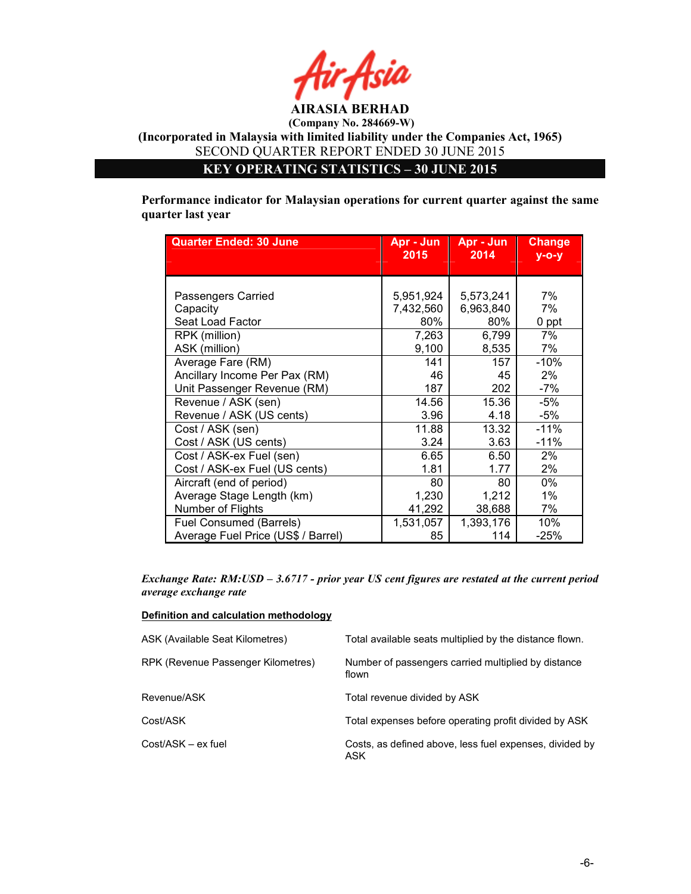

KEY OPERATING STATISTICS – 30 JUNE 2015

Performance indicator for Malaysian operations for current quarter against the same quarter last year

| <b>Quarter Ended: 30 June</b>      | Apr - Jun<br>2015 | Apr - Jun<br>2014 | <b>Change</b><br>$V - O - V$ |
|------------------------------------|-------------------|-------------------|------------------------------|
|                                    |                   |                   |                              |
|                                    |                   |                   |                              |
| Passengers Carried                 | 5,951,924         | 5,573,241         | 7%                           |
| Capacity                           | 7,432,560         | 6,963,840         | 7%                           |
| Seat Load Factor                   | 80%               | 80%               | 0 ppt                        |
| RPK (million)                      | 7,263             | 6,799             | 7%                           |
| ASK (million)                      | 9,100             | 8,535             | 7%                           |
| Average Fare (RM)                  | 141               | 157               | $-10%$                       |
| Ancillary Income Per Pax (RM)      | 46                | 45                | $2\%$                        |
| Unit Passenger Revenue (RM)        | 187               | 202               | $-7%$                        |
| Revenue / ASK (sen)                | 14.56             | 15.36             | $-5%$                        |
| Revenue / ASK (US cents)           | 3.96              | 4.18              | -5%                          |
| Cost / ASK (sen)                   | 11.88             | 13.32             | $-11%$                       |
| Cost / ASK (US cents)              | 3.24              | 3.63              | $-11%$                       |
| Cost / ASK-ex Fuel (sen)           | 6.65              | 6.50              | $2\%$                        |
| Cost / ASK-ex Fuel (US cents)      | 1.81              | 1.77              | 2%                           |
| Aircraft (end of period)           | 80                | 80                | 0%                           |
| Average Stage Length (km)          | 1,230             | 1,212             | $1\%$                        |
| Number of Flights                  | 41,292            | 38,688            | 7%                           |
| Fuel Consumed (Barrels)            | 1,531,057         | 1,393,176         | 10%                          |
| Average Fuel Price (US\$ / Barrel) | 85                | 114               | $-25%$                       |

Exchange Rate: RM:USD – 3.6717 - prior year US cent figures are restated at the current period average exchange rate

### Definition and calculation methodology

| ASK (Available Seat Kilometres)    | Total available seats multiplied by the distance flown.         |
|------------------------------------|-----------------------------------------------------------------|
| RPK (Revenue Passenger Kilometres) | Number of passengers carried multiplied by distance<br>flown    |
| Revenue/ASK                        | Total revenue divided by ASK                                    |
| Cost/ASK                           | Total expenses before operating profit divided by ASK           |
| Cost/ASK – ex fuel                 | Costs, as defined above, less fuel expenses, divided by<br>ASK. |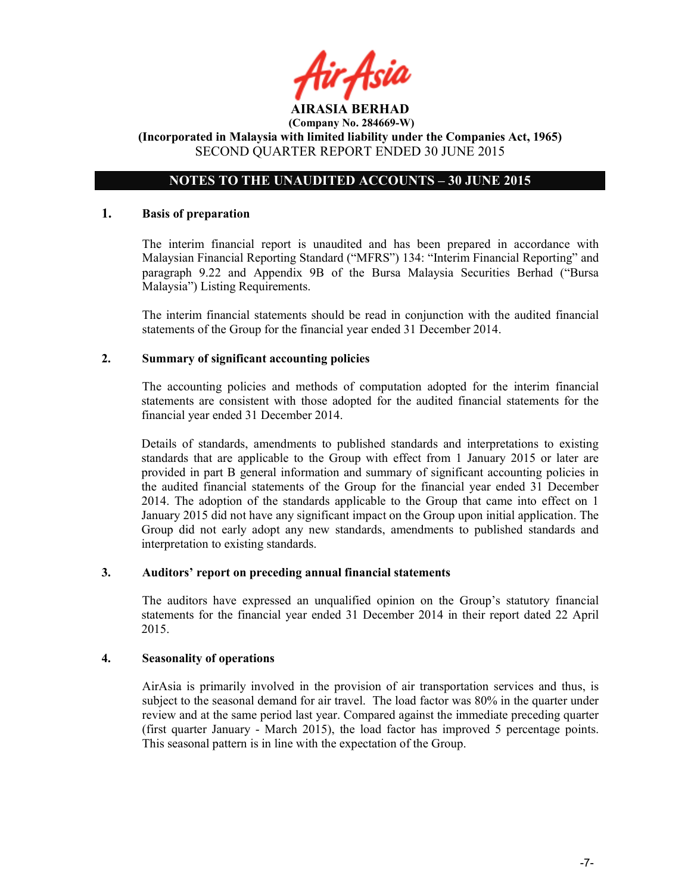# NOTES TO THE UNAUDITED ACCOUNTS – 30 JUNE 2015

#### 1. Basis of preparation

The interim financial report is unaudited and has been prepared in accordance with Malaysian Financial Reporting Standard ("MFRS") 134: "Interim Financial Reporting" and paragraph 9.22 and Appendix 9B of the Bursa Malaysia Securities Berhad ("Bursa Malaysia") Listing Requirements.

The interim financial statements should be read in conjunction with the audited financial statements of the Group for the financial year ended 31 December 2014.

#### 2. Summary of significant accounting policies

The accounting policies and methods of computation adopted for the interim financial statements are consistent with those adopted for the audited financial statements for the financial year ended 31 December 2014.

Details of standards, amendments to published standards and interpretations to existing standards that are applicable to the Group with effect from 1 January 2015 or later are provided in part B general information and summary of significant accounting policies in the audited financial statements of the Group for the financial year ended 31 December 2014. The adoption of the standards applicable to the Group that came into effect on 1 January 2015 did not have any significant impact on the Group upon initial application. The Group did not early adopt any new standards, amendments to published standards and interpretation to existing standards.

### 3. Auditors' report on preceding annual financial statements

The auditors have expressed an unqualified opinion on the Group's statutory financial statements for the financial year ended 31 December 2014 in their report dated 22 April 2015.

## 4. Seasonality of operations

AirAsia is primarily involved in the provision of air transportation services and thus, is subject to the seasonal demand for air travel. The load factor was 80% in the quarter under review and at the same period last year. Compared against the immediate preceding quarter (first quarter January - March 2015), the load factor has improved 5 percentage points. This seasonal pattern is in line with the expectation of the Group.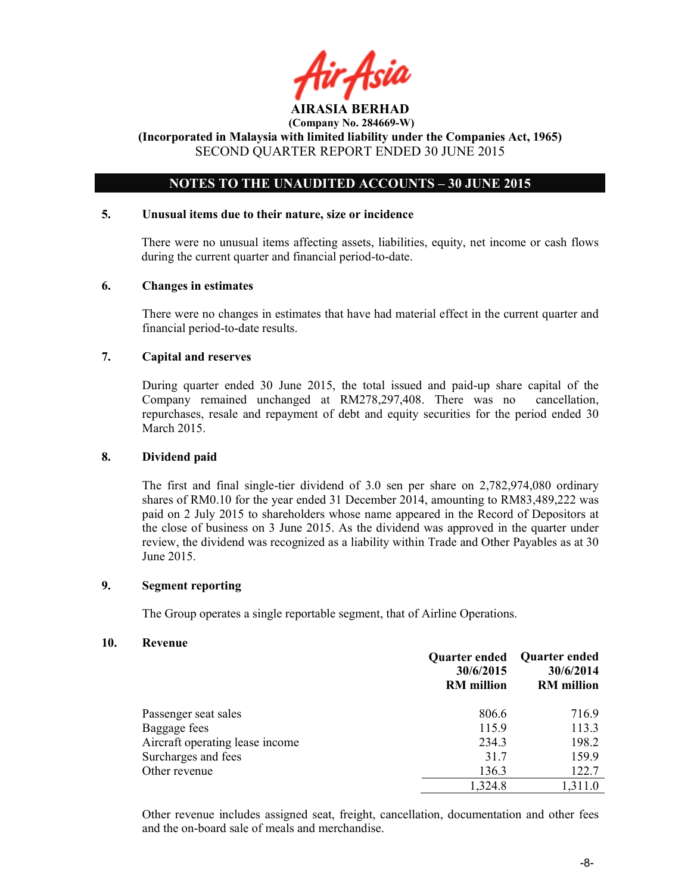AIRASIA BERHAD

# NOTES TO THE UNAUDITED ACCOUNTS – 30 JUNE 2015

## 5. Unusual items due to their nature, size or incidence

There were no unusual items affecting assets, liabilities, equity, net income or cash flows during the current quarter and financial period-to-date.

#### 6. Changes in estimates

There were no changes in estimates that have had material effect in the current quarter and financial period-to-date results.

## 7. Capital and reserves

During quarter ended 30 June 2015, the total issued and paid-up share capital of the Company remained unchanged at RM278,297,408. There was no cancellation, repurchases, resale and repayment of debt and equity securities for the period ended 30 March 2015.

## 8. Dividend paid

The first and final single-tier dividend of 3.0 sen per share on 2,782,974,080 ordinary shares of RM0.10 for the year ended 31 December 2014, amounting to RM83,489,222 was paid on 2 July 2015 to shareholders whose name appeared in the Record of Depositors at the close of business on 3 June 2015. As the dividend was approved in the quarter under review, the dividend was recognized as a liability within Trade and Other Payables as at 30 June 2015.

#### 9. Segment reporting

The Group operates a single reportable segment, that of Airline Operations.

#### 10. Revenue

|                                 | <b>Quarter ended</b><br>30/6/2015<br><b>RM</b> million | <b>Quarter ended</b><br>30/6/2014<br><b>RM</b> million |
|---------------------------------|--------------------------------------------------------|--------------------------------------------------------|
| Passenger seat sales            | 806.6                                                  | 716.9                                                  |
| Baggage fees                    | 115.9                                                  | 113.3                                                  |
| Aircraft operating lease income | 234.3                                                  | 198.2                                                  |
| Surcharges and fees             | 31.7                                                   | 159.9                                                  |
| Other revenue                   | 136.3                                                  | 122.7                                                  |
|                                 | 1,324.8                                                | 1,311.0                                                |

Other revenue includes assigned seat, freight, cancellation, documentation and other fees and the on-board sale of meals and merchandise.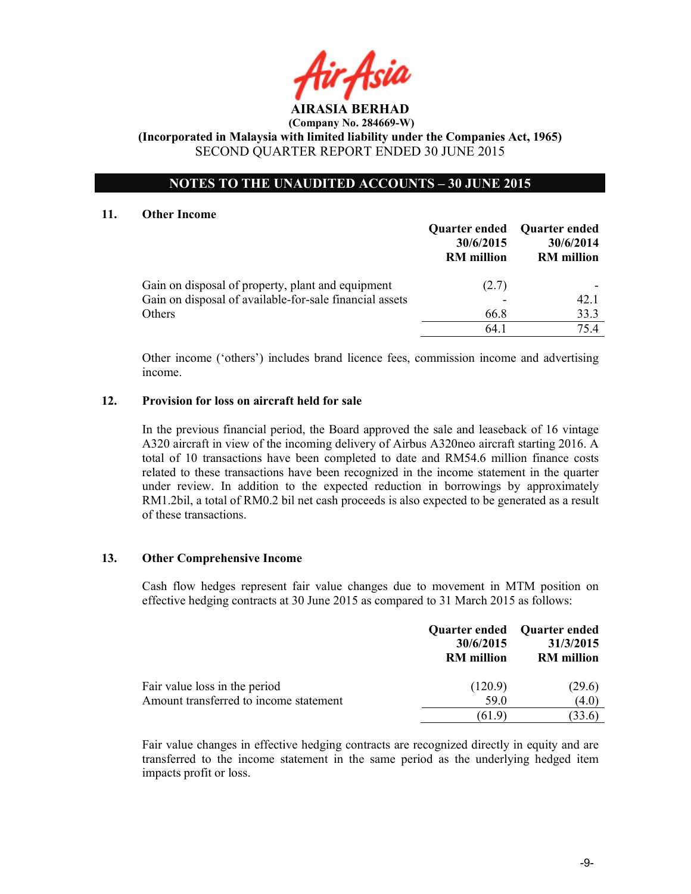# NOTES TO THE UNAUDITED ACCOUNTS – 30 JUNE 2015

#### 11. Other Income

|                                                         | Quarter ended<br>30/6/2015<br><b>RM</b> million | <b>Quarter ended</b><br>30/6/2014<br><b>RM</b> million |
|---------------------------------------------------------|-------------------------------------------------|--------------------------------------------------------|
| Gain on disposal of property, plant and equipment       | (2.7)                                           |                                                        |
| Gain on disposal of available-for-sale financial assets |                                                 | 42.1                                                   |
| Others                                                  | 66.8                                            | 33.3                                                   |
|                                                         | 64.1                                            | 754                                                    |

Other income ('others') includes brand licence fees, commission income and advertising income.

#### 12. Provision for loss on aircraft held for sale

In the previous financial period, the Board approved the sale and leaseback of 16 vintage A320 aircraft in view of the incoming delivery of Airbus A320neo aircraft starting 2016. A total of 10 transactions have been completed to date and RM54.6 million finance costs related to these transactions have been recognized in the income statement in the quarter under review. In addition to the expected reduction in borrowings by approximately RM1.2bil, a total of RM0.2 bil net cash proceeds is also expected to be generated as a result of these transactions.

## 13. Other Comprehensive Income

Cash flow hedges represent fair value changes due to movement in MTM position on effective hedging contracts at 30 June 2015 as compared to 31 March 2015 as follows:

|                                        | 30/6/2015<br><b>RM</b> million | Quarter ended Quarter ended<br>31/3/2015<br><b>RM</b> million |
|----------------------------------------|--------------------------------|---------------------------------------------------------------|
| Fair value loss in the period          | (120.9)                        | (29.6)                                                        |
| Amount transferred to income statement | 59.0                           | (4.0)                                                         |
|                                        | 61.9                           |                                                               |

Fair value changes in effective hedging contracts are recognized directly in equity and are transferred to the income statement in the same period as the underlying hedged item impacts profit or loss.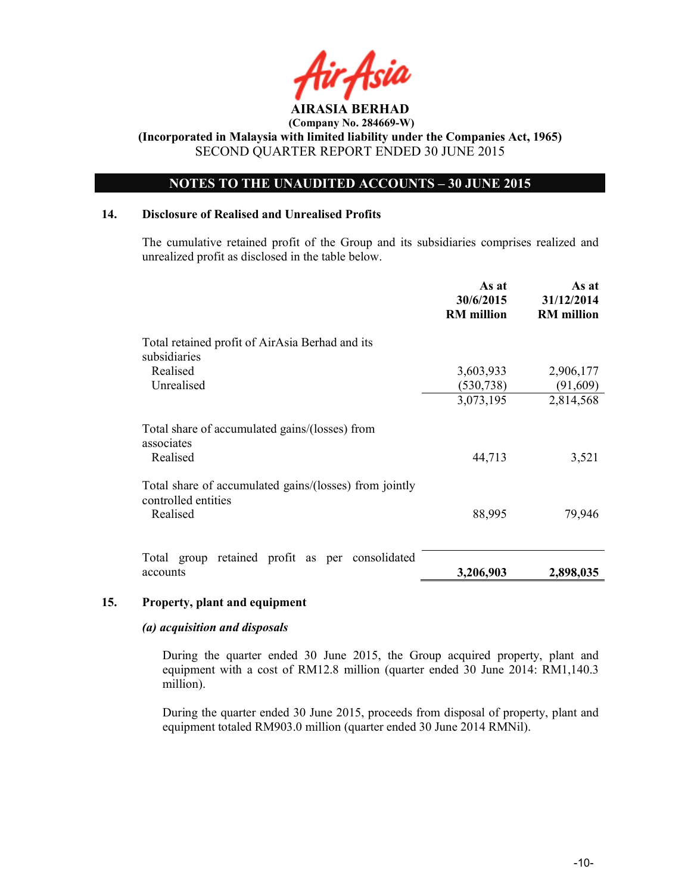

# NOTES TO THE UNAUDITED ACCOUNTS – 30 JUNE 2015

## 14. Disclosure of Realised and Unrealised Profits

The cumulative retained profit of the Group and its subsidiaries comprises realized and unrealized profit as disclosed in the table below.

|                                                                               | As at<br>30/6/2015<br><b>RM</b> million | As at<br>31/12/2014<br><b>RM</b> million |
|-------------------------------------------------------------------------------|-----------------------------------------|------------------------------------------|
| Total retained profit of AirAsia Berhad and its<br>subsidiaries               |                                         |                                          |
| Realised                                                                      | 3,603,933                               | 2,906,177                                |
| Unrealised                                                                    | (530, 738)                              | (91,609)                                 |
|                                                                               | 3,073,195                               | 2,814,568                                |
| Total share of accumulated gains/(losses) from<br>associates                  |                                         |                                          |
| Realised                                                                      | 44,713                                  | 3,521                                    |
| Total share of accumulated gains/(losses) from jointly<br>controlled entities |                                         |                                          |
| Realised                                                                      | 88,995                                  | 79,946                                   |
|                                                                               |                                         |                                          |
| retained profit as per consolidated<br>Total group                            |                                         |                                          |
| accounts                                                                      | 3,206,903                               | 2,898,035                                |

## 15. Property, plant and equipment

## (a) acquisition and disposals

During the quarter ended 30 June 2015, the Group acquired property, plant and equipment with a cost of RM12.8 million (quarter ended 30 June 2014: RM1,140.3 million).

During the quarter ended 30 June 2015, proceeds from disposal of property, plant and equipment totaled RM903.0 million (quarter ended 30 June 2014 RMNil).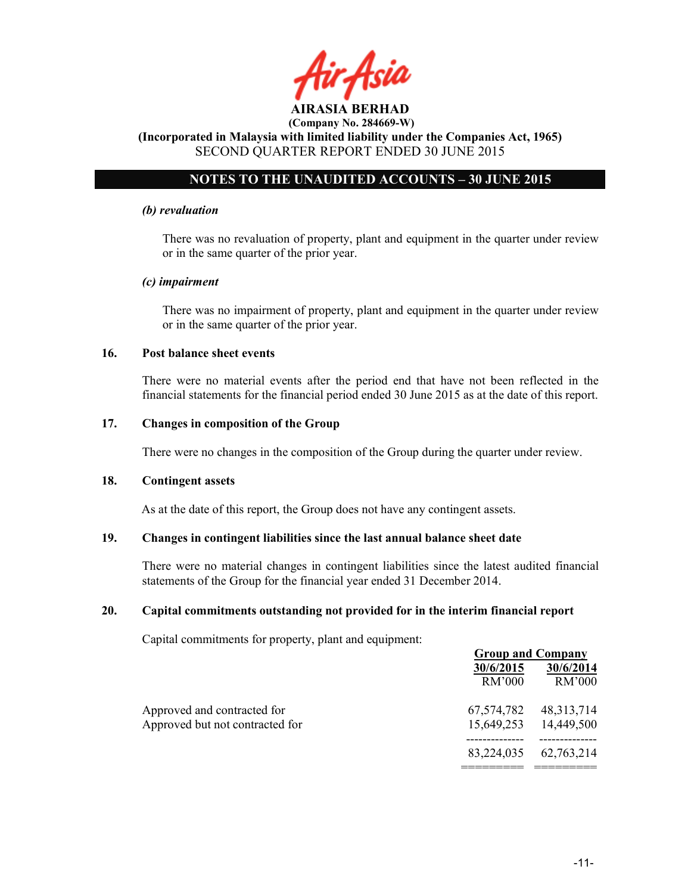AIRASIA BERHAD (Company No. 284669-W) (Incorporated in Malaysia with limited liability under the Companies Act, 1965)

# SECOND QUARTER REPORT ENDED 30 JUNE 2015

# NOTES TO THE UNAUDITED ACCOUNTS – 30 JUNE 2015

#### (b) revaluation

There was no revaluation of property, plant and equipment in the quarter under review or in the same quarter of the prior year.

#### (c) impairment

There was no impairment of property, plant and equipment in the quarter under review or in the same quarter of the prior year.

## 16. Post balance sheet events

There were no material events after the period end that have not been reflected in the financial statements for the financial period ended 30 June 2015 as at the date of this report.

## 17. Changes in composition of the Group

There were no changes in the composition of the Group during the quarter under review.

#### 18. Contingent assets

As at the date of this report, the Group does not have any contingent assets.

## 19. Changes in contingent liabilities since the last annual balance sheet date

There were no material changes in contingent liabilities since the latest audited financial statements of the Group for the financial year ended 31 December 2014.

## 20. Capital commitments outstanding not provided for in the interim financial report

Capital commitments for property, plant and equipment:

|                                 |            | <b>Group and Company</b> |
|---------------------------------|------------|--------------------------|
|                                 | 30/6/2015  | 30/6/2014                |
|                                 | RM'000     | RM'000                   |
| Approved and contracted for     | 67,574,782 | 48, 313, 714             |
| Approved but not contracted for |            | 15,649,253 14,449,500    |
|                                 | 83,224,035 | 62,763,214               |
|                                 |            |                          |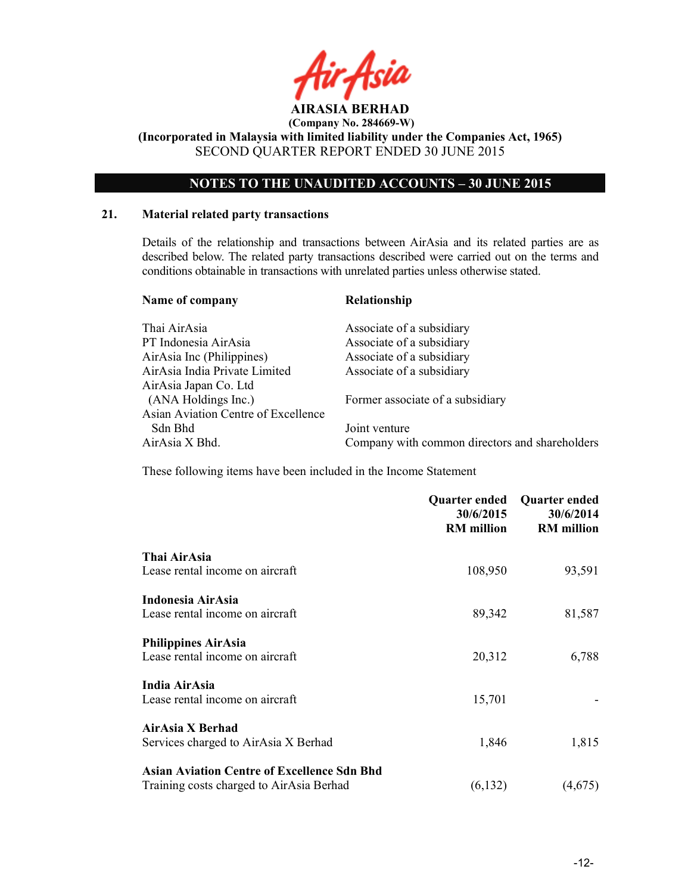

# NOTES TO THE UNAUDITED ACCOUNTS – 30 JUNE 2015

## 21. Material related party transactions

Details of the relationship and transactions between AirAsia and its related parties are as described below. The related party transactions described were carried out on the terms and conditions obtainable in transactions with unrelated parties unless otherwise stated.

| Name of company                     | Relationship                                   |
|-------------------------------------|------------------------------------------------|
| Thai AirAsia                        | Associate of a subsidiary                      |
| PT Indonesia AirAsia                | Associate of a subsidiary                      |
| AirAsia Inc (Philippines)           | Associate of a subsidiary                      |
| AirAsia India Private Limited       | Associate of a subsidiary                      |
| AirAsia Japan Co. Ltd               |                                                |
| (ANA Holdings Inc.)                 | Former associate of a subsidiary               |
| Asian Aviation Centre of Excellence |                                                |
| Sdn Bhd                             | Joint venture                                  |
| AirAsia X Bhd.                      | Company with common directors and shareholders |
|                                     |                                                |

These following items have been included in the Income Statement

|                                                    | Quarter ended<br>30/6/2015<br><b>RM</b> million | <b>Quarter ended</b><br>30/6/2014<br><b>RM</b> million |
|----------------------------------------------------|-------------------------------------------------|--------------------------------------------------------|
| Thai AirAsia                                       |                                                 |                                                        |
| Lease rental income on aircraft                    | 108,950                                         | 93,591                                                 |
| Indonesia AirAsia                                  |                                                 |                                                        |
| Lease rental income on aircraft                    | 89,342                                          | 81,587                                                 |
| <b>Philippines AirAsia</b>                         |                                                 |                                                        |
| Lease rental income on aircraft                    | 20,312                                          | 6,788                                                  |
| India AirAsia                                      |                                                 |                                                        |
| Lease rental income on aircraft                    | 15,701                                          |                                                        |
| AirAsia X Berhad                                   |                                                 |                                                        |
| Services charged to AirAsia X Berhad               | 1,846                                           | 1,815                                                  |
| <b>Asian Aviation Centre of Excellence Sdn Bhd</b> |                                                 |                                                        |
| Training costs charged to AirAsia Berhad           | (6, 132)                                        | (4,675)                                                |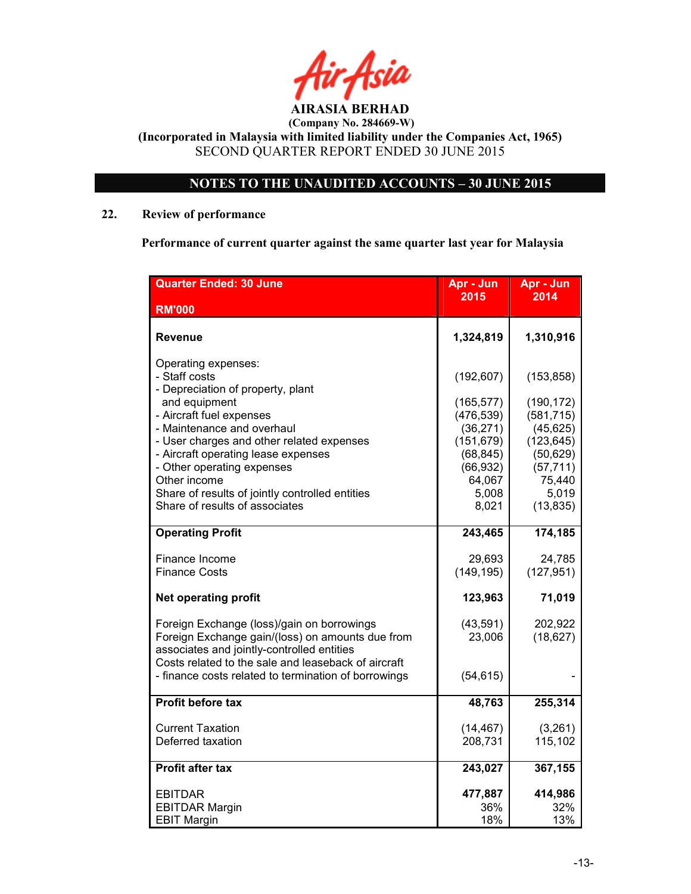

# NOTES TO THE UNAUDITED ACCOUNTS – 30 JUNE 2015

# 22. Review of performance

Performance of current quarter against the same quarter last year for Malaysia

| <b>Quarter Ended: 30 June</b>                                                                  | Apr - Jun<br>2015        | Apr - Jun<br>2014        |
|------------------------------------------------------------------------------------------------|--------------------------|--------------------------|
| <b>RM'000</b>                                                                                  |                          |                          |
| Revenue                                                                                        | 1,324,819                | 1,310,916                |
| Operating expenses:<br>- Staff costs<br>- Depreciation of property, plant                      | (192, 607)               | (153, 858)               |
| and equipment<br>- Aircraft fuel expenses                                                      | (165, 577)<br>(476, 539) | (190, 172)<br>(581, 715) |
| - Maintenance and overhaul                                                                     | (36, 271)                | (45, 625)                |
| - User charges and other related expenses                                                      | (151, 679)               | (123, 645)               |
| - Aircraft operating lease expenses<br>- Other operating expenses                              | (68, 845)<br>(66, 932)   | (50, 629)<br>(57, 711)   |
| Other income                                                                                   | 64,067                   | 75,440                   |
| Share of results of jointly controlled entities                                                | 5,008                    | 5,019                    |
| Share of results of associates                                                                 | 8,021                    | (13, 835)                |
| <b>Operating Profit</b>                                                                        | 243,465                  | 174,185                  |
| Finance Income                                                                                 | 29,693                   | 24,785                   |
| <b>Finance Costs</b>                                                                           | (149, 195)               | (127, 951)               |
| <b>Net operating profit</b>                                                                    | 123,963                  | 71,019                   |
| Foreign Exchange (loss)/gain on borrowings                                                     | (43, 591)                | 202,922                  |
| Foreign Exchange gain/(loss) on amounts due from<br>associates and jointly-controlled entities | 23,006                   | (18, 627)                |
| Costs related to the sale and leaseback of aircraft                                            |                          |                          |
| - finance costs related to termination of borrowings                                           | (54, 615)                |                          |
| Profit before tax                                                                              | 48,763                   | 255,314                  |
| <b>Current Taxation</b>                                                                        | (14, 467)                | (3,261)                  |
| Deferred taxation                                                                              | 208,731                  | 115,102                  |
| <b>Profit after tax</b>                                                                        | 243,027                  | 367,155                  |
| <b>EBITDAR</b>                                                                                 | 477,887                  | 414,986                  |
| <b>EBITDAR Margin</b>                                                                          | 36%                      | 32%                      |
| <b>EBIT Margin</b>                                                                             | 18%                      | 13%                      |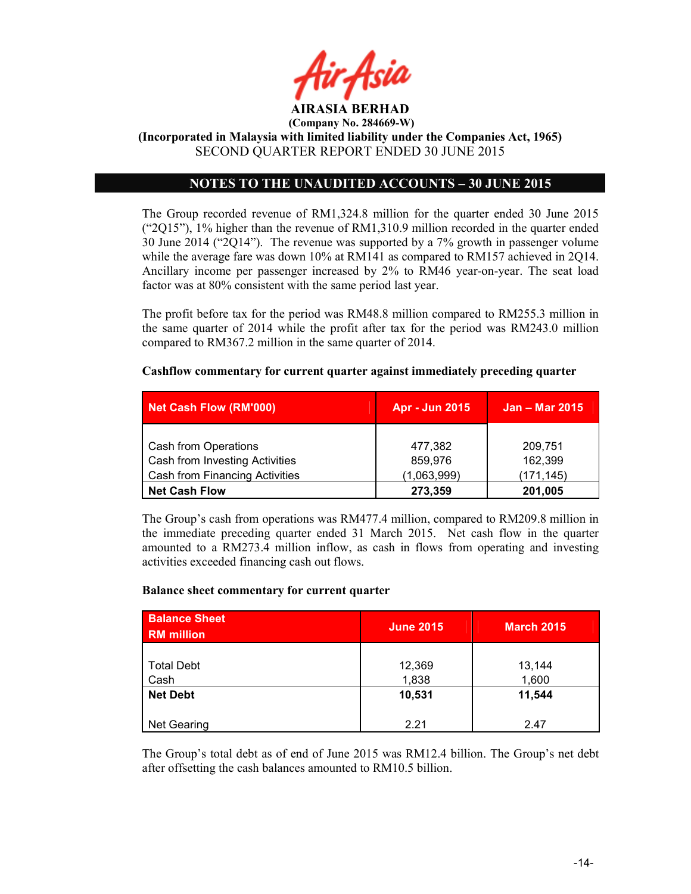

(Incorporated in Malaysia with limited liability under the Companies Act, 1965) SECOND QUARTER REPORT ENDED 30 JUNE 2015

# NOTES TO THE UNAUDITED ACCOUNTS – 30 JUNE 2015

The Group recorded revenue of RM1,324.8 million for the quarter ended 30 June 2015  $("2Q15")$ , 1% higher than the revenue of RM1,310.9 million recorded in the quarter ended 30 June 2014 ("2Q14"). The revenue was supported by a 7% growth in passenger volume while the average fare was down 10% at RM141 as compared to RM157 achieved in 2014. Ancillary income per passenger increased by 2% to RM46 year-on-year. The seat load factor was at 80% consistent with the same period last year.

The profit before tax for the period was RM48.8 million compared to RM255.3 million in the same quarter of 2014 while the profit after tax for the period was RM243.0 million compared to RM367.2 million in the same quarter of 2014.

## Cashflow commentary for current quarter against immediately preceding quarter

| Net Cash Flow (RM'000)         | Apr - Jun 2015 | <b>Jan – Mar 2015</b> |  |
|--------------------------------|----------------|-----------------------|--|
|                                |                |                       |  |
| Cash from Operations           | 477,382        | 209,751               |  |
| Cash from Investing Activities | 859,976        | 162,399               |  |
| Cash from Financing Activities | (1,063,999)    | (171, 145)            |  |
| <b>Net Cash Flow</b>           | 273,359        | 201,005               |  |

The Group's cash from operations was RM477.4 million, compared to RM209.8 million in the immediate preceding quarter ended 31 March 2015. Net cash flow in the quarter amounted to a RM273.4 million inflow, as cash in flows from operating and investing activities exceeded financing cash out flows.

## Balance sheet commentary for current quarter

| <b>Balance Sheet</b><br><b>RM</b> million | <b>June 2015</b> | <b>March 2015</b> |
|-------------------------------------------|------------------|-------------------|
| <b>Total Debt</b><br>Cash                 | 12,369<br>1,838  | 13,144<br>1,600   |
| <b>Net Debt</b>                           | 10,531           | 11,544            |
| <b>Net Gearing</b>                        | 2.21             | 2.47              |

The Group's total debt as of end of June 2015 was RM12.4 billion. The Group's net debt after offsetting the cash balances amounted to RM10.5 billion.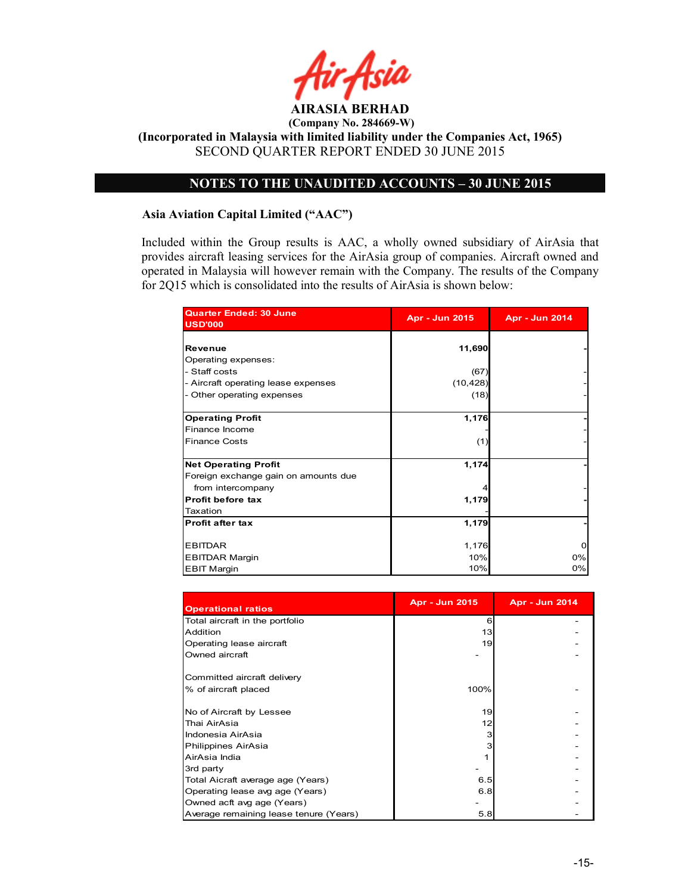

# NOTES TO THE UNAUDITED ACCOUNTS – 30 JUNE 2015

### Asia Aviation Capital Limited ("AAC")

Included within the Group results is AAC, a wholly owned subsidiary of AirAsia that provides aircraft leasing services for the AirAsia group of companies. Aircraft owned and operated in Malaysia will however remain with the Company. The results of the Company for 2Q15 which is consolidated into the results of AirAsia is shown below:

| <b>Quarter Ended: 30 June</b><br><b>USD'000</b> | <b>Apr - Jun 2015</b> | <b>Apr - Jun 2014</b> |  |
|-------------------------------------------------|-----------------------|-----------------------|--|
| Revenue                                         | 11,690                |                       |  |
| Operating expenses:                             |                       |                       |  |
| - Staff costs                                   | (67)                  |                       |  |
| - Aircraft operating lease expenses             | (10, 428)             |                       |  |
| - Other operating expenses                      | (18)                  |                       |  |
|                                                 |                       |                       |  |
| <b>Operating Profit</b>                         | 1,176                 |                       |  |
| Finance Income                                  |                       |                       |  |
| <b>Finance Costs</b>                            | (1)                   |                       |  |
|                                                 |                       |                       |  |
| <b>Net Operating Profit</b>                     | 1,174                 |                       |  |
| Foreign exchange gain on amounts due            |                       |                       |  |
| from intercompany                               |                       |                       |  |
| Profit before tax                               | 1,179                 |                       |  |
| Taxation                                        |                       |                       |  |
| <b>Profit after tax</b>                         | 1,179                 |                       |  |
|                                                 |                       |                       |  |
| <b>EBITDAR</b>                                  | 1,176                 | O                     |  |
| <b>EBITDAR Margin</b>                           | 10%                   | 0%                    |  |
| <b>EBIT Margin</b>                              | 10%                   | 0%                    |  |

| <b>Operational ratios</b>                           | <b>Apr - Jun 2015</b> | <b>Apr - Jun 2014</b> |
|-----------------------------------------------------|-----------------------|-----------------------|
| Total aircraft in the portfolio                     | 6                     |                       |
| Addition                                            | 13                    |                       |
| Operating lease aircraft                            | 19                    |                       |
| Owned aircraft                                      |                       |                       |
| Committed aircraft delivery<br>% of aircraft placed | 100%                  |                       |
| No of Aircraft by Lessee                            | 19                    |                       |
| Thai AirAsia                                        | 12                    |                       |
| Indonesia AirAsia                                   | 3                     |                       |
| Philippines AirAsia                                 | 3                     |                       |
| AirAsia India                                       |                       |                       |
| 3rd party                                           |                       |                       |
| Total Aicraft average age (Years)                   | 6.5                   |                       |
| Operating lease avg age (Years)                     | 6.8                   |                       |
| Owned acft avg age (Years)                          |                       |                       |
| Average remaining lease tenure (Years)              | 5.8                   |                       |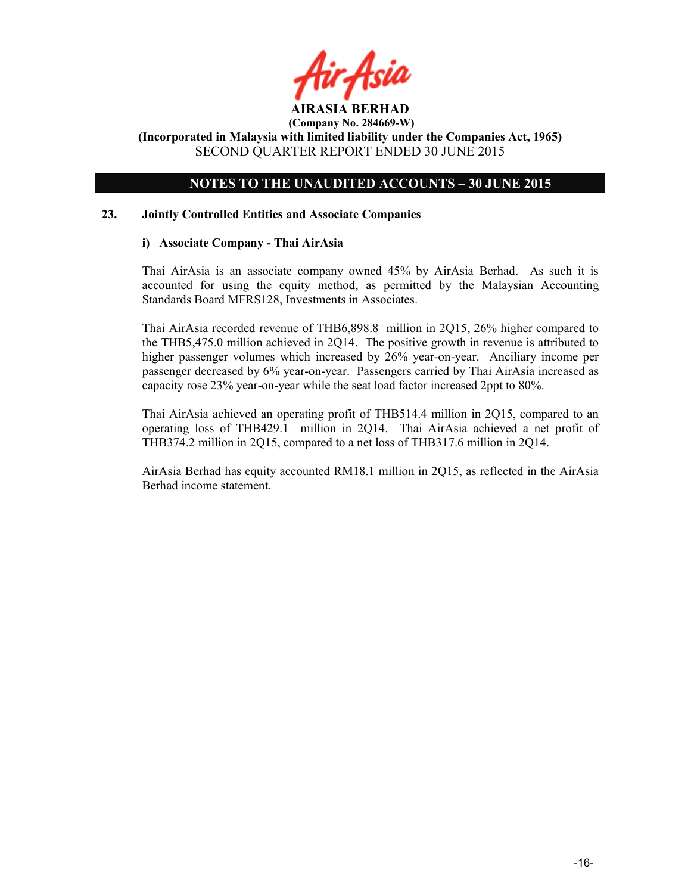# NOTES TO THE UNAUDITED ACCOUNTS – 30 JUNE 2015

## 23. Jointly Controlled Entities and Associate Companies

## i) Associate Company - Thai AirAsia

Thai AirAsia is an associate company owned 45% by AirAsia Berhad. As such it is accounted for using the equity method, as permitted by the Malaysian Accounting Standards Board MFRS128, Investments in Associates.

Thai AirAsia recorded revenue of THB6,898.8 million in 2Q15, 26% higher compared to the THB5,475.0 million achieved in 2Q14. The positive growth in revenue is attributed to higher passenger volumes which increased by 26% year-on-year. Anciliary income per passenger decreased by 6% year-on-year. Passengers carried by Thai AirAsia increased as capacity rose 23% year-on-year while the seat load factor increased 2ppt to 80%.

Thai AirAsia achieved an operating profit of THB514.4 million in 2Q15, compared to an operating loss of THB429.1 million in 2Q14. Thai AirAsia achieved a net profit of THB374.2 million in 2Q15, compared to a net loss of THB317.6 million in 2Q14.

AirAsia Berhad has equity accounted RM18.1 million in 2Q15, as reflected in the AirAsia Berhad income statement.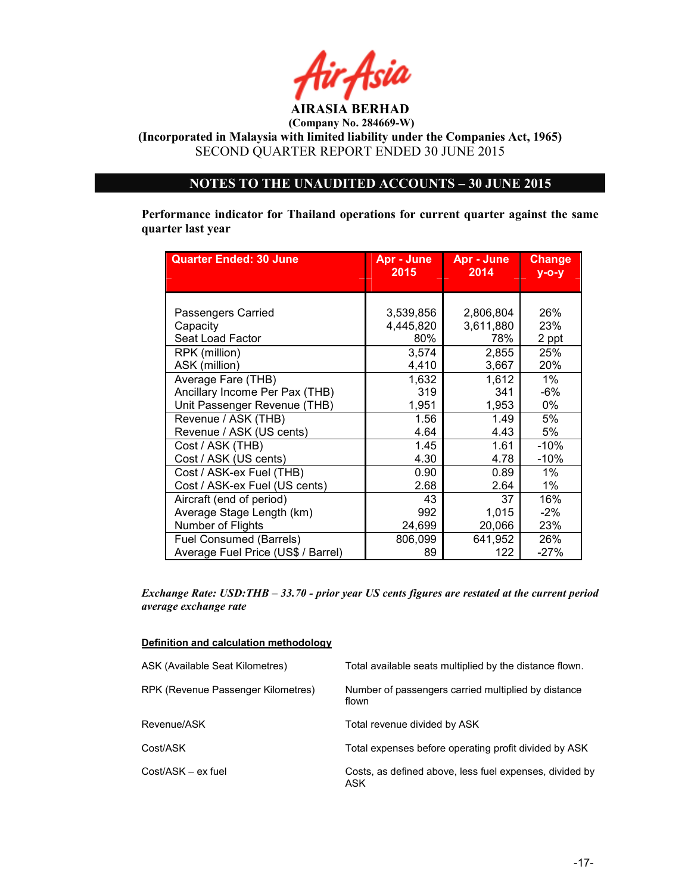

(Incorporated in Malaysia with limited liability under the Companies Act, 1965) SECOND QUARTER REPORT ENDED 30 JUNE 2015

# NOTES TO THE UNAUDITED ACCOUNTS – 30 JUNE 2015

Performance indicator for Thailand operations for current quarter against the same quarter last year

| <b>Quarter Ended: 30 June</b>      | Apr - June<br>2015 | Apr - June<br>2014 | <b>Change</b><br>$V-O-V$ |
|------------------------------------|--------------------|--------------------|--------------------------|
|                                    |                    |                    |                          |
|                                    |                    |                    |                          |
| Passengers Carried                 | 3,539,856          | 2,806,804          | 26%                      |
| Capacity                           | 4,445,820          | 3,611,880          | 23%                      |
| Seat Load Factor                   | 80%                | 78%                | 2 ppt                    |
| RPK (million)                      | 3,574              | 2,855              | 25%                      |
| ASK (million)                      | 4,410              | 3,667              | 20%                      |
| Average Fare (THB)                 | 1,632              | 1,612              | 1%                       |
| Ancillary Income Per Pax (THB)     | 319                | 341                | -6%                      |
| Unit Passenger Revenue (THB)       | 1,951              | 1,953              | 0%                       |
| Revenue / ASK (THB)                | 1.56               | 1.49               | 5%                       |
| Revenue / ASK (US cents)           | 4.64               | 4.43               | 5%                       |
| Cost / ASK (THB)                   | 1.45               | 1.61               | -10%                     |
| Cost / ASK (US cents)              | 4.30               | 4.78               | $-10%$                   |
| Cost / ASK-ex Fuel (THB)           | 0.90               | 0.89               | 1%                       |
| Cost / ASK-ex Fuel (US cents)      | 2.68               | 2.64               | 1%                       |
| Aircraft (end of period)           | 43                 | 37                 | 16%                      |
| Average Stage Length (km)          | 992                | 1,015              | $-2\%$                   |
| Number of Flights                  | 24,699             | 20,066             | 23%                      |
| Fuel Consumed (Barrels)            | 806,099            | 641,952            | 26%                      |
| Average Fuel Price (US\$ / Barrel) | 89                 | 122                | $-27%$                   |

Exchange Rate: USD:THB – 33.70 - prior year US cents figures are restated at the current period average exchange rate

#### Definition and calculation methodology

| ASK (Available Seat Kilometres)    | Total available seats multiplied by the distance flown.        |
|------------------------------------|----------------------------------------------------------------|
| RPK (Revenue Passenger Kilometres) | Number of passengers carried multiplied by distance<br>flown   |
| Revenue/ASK                        | Total revenue divided by ASK                                   |
| Cost/ASK                           | Total expenses before operating profit divided by ASK          |
| Cost/ASK - ex fuel                 | Costs, as defined above, less fuel expenses, divided by<br>ASK |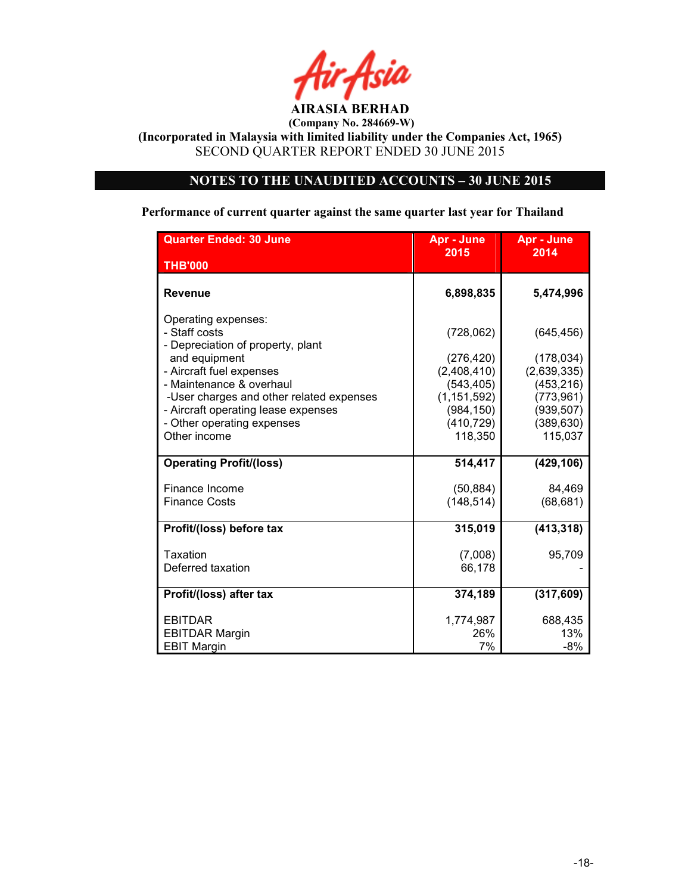

(Incorporated in Malaysia with limited liability under the Companies Act, 1965) SECOND QUARTER REPORT ENDED 30 JUNE 2015

# NOTES TO THE UNAUDITED ACCOUNTS – 30 JUNE 2015

## Performance of current quarter against the same quarter last year for Thailand

| <b>Quarter Ended: 30 June</b>                                                                                 | Apr - June<br>2015                        | Apr - June<br>2014                     |  |
|---------------------------------------------------------------------------------------------------------------|-------------------------------------------|----------------------------------------|--|
| <b>THB'000</b>                                                                                                |                                           |                                        |  |
| <b>Revenue</b>                                                                                                | 6,898,835                                 | 5,474,996                              |  |
| Operating expenses:<br>- Staff costs<br>- Depreciation of property, plant<br>and equipment                    | (728,062)<br>(276, 420)                   | (645, 456)<br>(178, 034)               |  |
| - Aircraft fuel expenses<br>- Maintenance & overhaul                                                          | (2,408,410)<br>(543, 405)                 | (2,639,335)<br>(453, 216)              |  |
| -User charges and other related expenses<br>- Aircraft operating lease expenses<br>- Other operating expenses | (1, 151, 592)<br>(984, 150)<br>(410, 729) | (773, 961)<br>(939, 507)<br>(389, 630) |  |
| Other income                                                                                                  | 118,350                                   | 115,037                                |  |
| <b>Operating Profit/(loss)</b>                                                                                | 514,417                                   | (429, 106)                             |  |
| Finance Income<br><b>Finance Costs</b>                                                                        | (50, 884)<br>(148, 514)                   | 84,469<br>(68, 681)                    |  |
| Profit/(loss) before tax                                                                                      | 315,019                                   | (413, 318)                             |  |
| Taxation<br>Deferred taxation                                                                                 | (7,008)<br>66,178                         | 95,709                                 |  |
| Profit/(loss) after tax                                                                                       | 374,189                                   | (317, 609)                             |  |
| <b>EBITDAR</b><br><b>EBITDAR Margin</b><br><b>EBIT Margin</b>                                                 | 1,774,987<br>26%<br>7%                    | 688,435<br>13%<br>$-8%$                |  |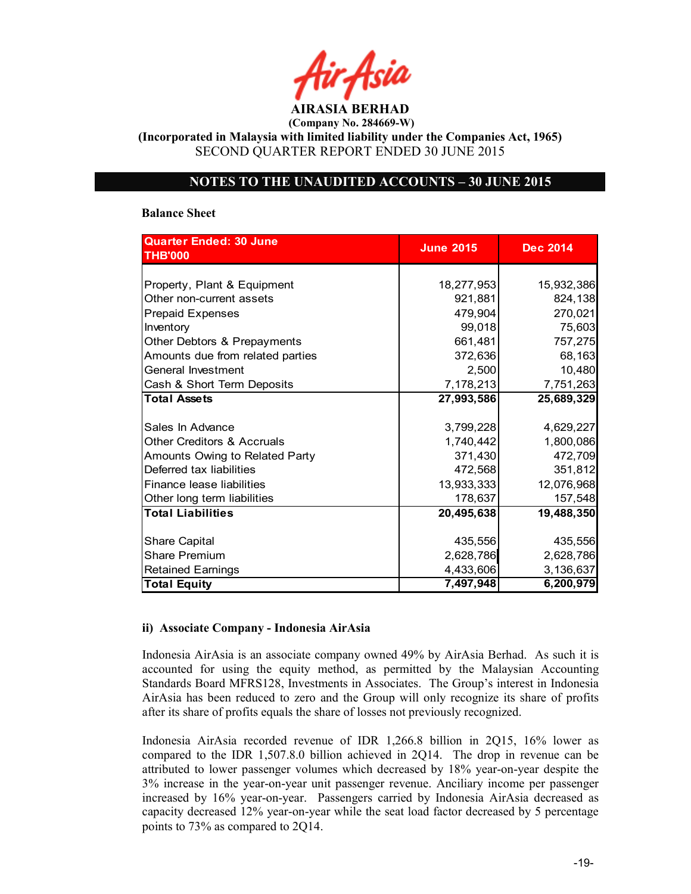AIRASIA BERHAD

(Incorporated in Malaysia with limited liability under the Companies Act, 1965) SECOND QUARTER REPORT ENDED 30 JUNE 2015

## NOTES TO THE UNAUDITED ACCOUNTS – 30 JUNE 2015

#### Balance Sheet

| <b>Quarter Ended: 30 June</b><br><b>THB'000</b> | <b>June 2015</b> | <b>Dec 2014</b> |  |
|-------------------------------------------------|------------------|-----------------|--|
|                                                 |                  |                 |  |
| Property, Plant & Equipment                     | 18,277,953       | 15,932,386      |  |
| Other non-current assets                        | 921,881          | 824,138         |  |
| <b>Prepaid Expenses</b>                         | 479,904          | 270,021         |  |
| Inventory                                       | 99,018           | 75,603          |  |
| Other Debtors & Prepayments                     | 661,481          | 757,275         |  |
| Amounts due from related parties                | 372,636          | 68,163          |  |
| General Investment                              | 2,500            | 10,480          |  |
| Cash & Short Term Deposits                      | 7,178,213        | 7,751,263       |  |
| <b>Total Assets</b>                             | 27,993,586       | 25,689,329      |  |
|                                                 |                  |                 |  |
| Sales In Advance                                | 3,799,228        | 4,629,227       |  |
| <b>Other Creditors &amp; Accruals</b>           | 1,740,442        | 1,800,086       |  |
| Amounts Owing to Related Party                  | 371,430          | 472,709         |  |
| Deferred tax liabilities                        | 472,568          | 351,812         |  |
| Finance lease liabilities                       | 13,933,333       | 12,076,968      |  |
| Other long term liabilities                     | 178,637          | 157,548         |  |
| <b>Total Liabilities</b>                        | 20,495,638       | 19,488,350      |  |
|                                                 |                  |                 |  |
| <b>Share Capital</b>                            | 435,556          | 435,556         |  |
| <b>Share Premium</b>                            | 2,628,786        | 2,628,786       |  |
| <b>Retained Earnings</b>                        | 4,433,606        | 3,136,637       |  |
| <b>Total Equity</b>                             | 7,497,948        | 6,200,979       |  |

#### ii) Associate Company - Indonesia AirAsia

Indonesia AirAsia is an associate company owned 49% by AirAsia Berhad. As such it is accounted for using the equity method, as permitted by the Malaysian Accounting Standards Board MFRS128, Investments in Associates. The Group's interest in Indonesia AirAsia has been reduced to zero and the Group will only recognize its share of profits after its share of profits equals the share of losses not previously recognized.

Indonesia AirAsia recorded revenue of IDR 1,266.8 billion in 2Q15, 16% lower as compared to the IDR 1,507.8.0 billion achieved in 2Q14. The drop in revenue can be attributed to lower passenger volumes which decreased by 18% year-on-year despite the 3% increase in the year-on-year unit passenger revenue. Anciliary income per passenger increased by 16% year-on-year. Passengers carried by Indonesia AirAsia decreased as capacity decreased 12% year-on-year while the seat load factor decreased by 5 percentage points to 73% as compared to 2Q14.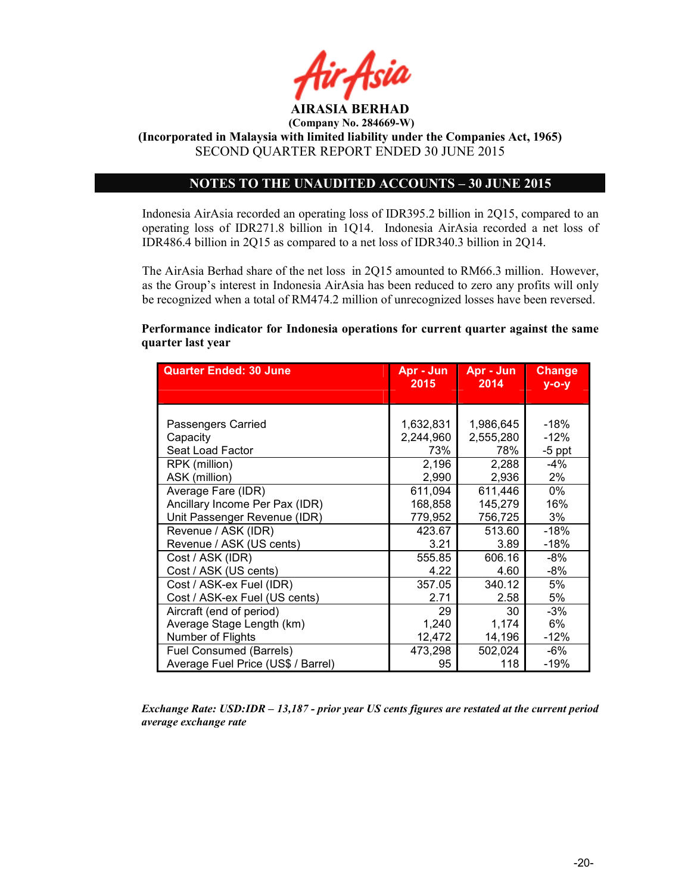

AIRASIA BERHAD (Company No. 284669-W)

(Incorporated in Malaysia with limited liability under the Companies Act, 1965) SECOND QUARTER REPORT ENDED 30 JUNE 2015

## NOTES TO THE UNAUDITED ACCOUNTS – 30 JUNE 2015

Indonesia AirAsia recorded an operating loss of IDR395.2 billion in 2Q15, compared to an operating loss of IDR271.8 billion in 1Q14. Indonesia AirAsia recorded a net loss of IDR486.4 billion in 2Q15 as compared to a net loss of IDR340.3 billion in 2Q14.

The AirAsia Berhad share of the net loss in 2Q15 amounted to RM66.3 million. However, as the Group's interest in Indonesia AirAsia has been reduced to zero any profits will only be recognized when a total of RM474.2 million of unrecognized losses have been reversed.

## Performance indicator for Indonesia operations for current quarter against the same quarter last year

| <b>Quarter Ended: 30 June</b>      | Apr - Jun<br>2015 | Apr - Jun<br>2014 | <b>Change</b><br>$y$ -o-y |
|------------------------------------|-------------------|-------------------|---------------------------|
|                                    |                   |                   |                           |
|                                    |                   |                   |                           |
| Passengers Carried                 | 1,632,831         | 1,986,645         | $-18%$                    |
| Capacity                           | 2,244,960         | 2,555,280         | $-12%$                    |
| Seat Load Factor                   | 73%               | 78%               | $-5$ ppt                  |
| RPK (million)                      | 2,196             | 2,288             | -4%                       |
| ASK (million)                      | 2,990             | 2,936             | 2%                        |
| Average Fare (IDR)                 | 611,094           | 611,446           | 0%                        |
| Ancillary Income Per Pax (IDR)     | 168,858           | 145,279           | 16%                       |
| Unit Passenger Revenue (IDR)       | 779,952           | 756,725           | 3%                        |
| Revenue / ASK (IDR)                | 423.67            | 513.60            | -18%                      |
| Revenue / ASK (US cents)           | 3.21              | 3.89              | $-18%$                    |
| Cost / ASK (IDR)                   | 555.85            | 606.16            | $-8%$                     |
| Cost / ASK (US cents)              | 4.22              | 4.60              | $-8%$                     |
| Cost / ASK-ex Fuel (IDR)           | 357.05            | 340.12            | 5%                        |
| Cost / ASK-ex Fuel (US cents)      | 2.71              | 2.58              | 5%                        |
| Aircraft (end of period)           | 29                | 30                | $-3%$                     |
| Average Stage Length (km)          | 1,240             | 1,174             | 6%                        |
| Number of Flights                  | 12,472            | 14,196            | $-12%$                    |
| Fuel Consumed (Barrels)            | 473,298           | 502,024           | -6%                       |
| Average Fuel Price (US\$ / Barrel) | 95                | 118               | $-19%$                    |

Exchange Rate: USD:IDR – 13,187 - prior year US cents figures are restated at the current period average exchange rate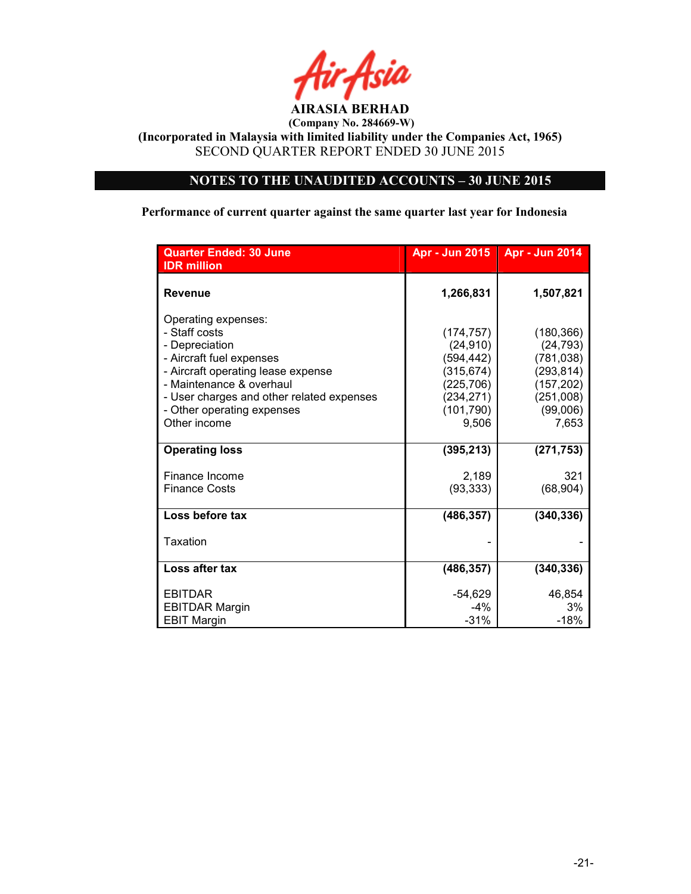

(Incorporated in Malaysia with limited liability under the Companies Act, 1965) SECOND QUARTER REPORT ENDED 30 JUNE 2015

# NOTES TO THE UNAUDITED ACCOUNTS – 30 JUNE 2015

Performance of current quarter against the same quarter last year for Indonesia

| <b>Quarter Ended: 30 June</b><br><b>IDR</b> million                                                                                                                                                                                             | Apr - Jun 2015                                                                                        | Apr - Jun 2014                                                                                      |
|-------------------------------------------------------------------------------------------------------------------------------------------------------------------------------------------------------------------------------------------------|-------------------------------------------------------------------------------------------------------|-----------------------------------------------------------------------------------------------------|
| <b>Revenue</b>                                                                                                                                                                                                                                  | 1,266,831                                                                                             | 1,507,821                                                                                           |
| Operating expenses:<br>- Staff costs<br>- Depreciation<br>- Aircraft fuel expenses<br>- Aircraft operating lease expense<br>- Maintenance & overhaul<br>- User charges and other related expenses<br>- Other operating expenses<br>Other income | (174, 757)<br>(24, 910)<br>(594, 442)<br>(315, 674)<br>(225, 706)<br>(234,271)<br>(101, 790)<br>9,506 | (180, 366)<br>(24, 793)<br>(781, 038)<br>(293, 814)<br>(157, 202)<br>(251,008)<br>(99,006)<br>7,653 |
| <b>Operating loss</b>                                                                                                                                                                                                                           | (395, 213)                                                                                            | (271, 753)                                                                                          |
| Finance Income<br><b>Finance Costs</b>                                                                                                                                                                                                          | 2,189<br>(93, 333)                                                                                    | 321<br>(68, 904)                                                                                    |
| Loss before tax                                                                                                                                                                                                                                 | (486, 357)                                                                                            | (340, 336)                                                                                          |
| Taxation                                                                                                                                                                                                                                        |                                                                                                       |                                                                                                     |
| Loss after tax                                                                                                                                                                                                                                  | (486, 357)                                                                                            | (340, 336)                                                                                          |
| <b>EBITDAR</b><br><b>EBITDAR Margin</b><br><b>EBIT Margin</b>                                                                                                                                                                                   | $-54,629$<br>$-4%$<br>$-31%$                                                                          | 46,854<br>3%<br>$-18%$                                                                              |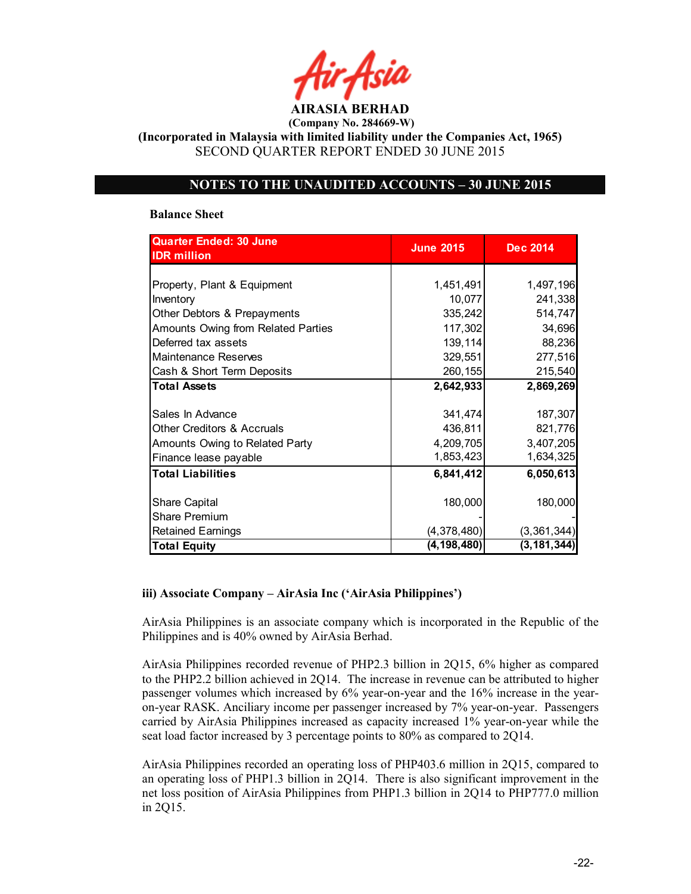AIRASIA BERHAD (Company No. 284669-W)

(Incorporated in Malaysia with limited liability under the Companies Act, 1965) SECOND QUARTER REPORT ENDED 30 JUNE 2015

## NOTES TO THE UNAUDITED ACCOUNTS – 30 JUNE 2015

#### Balance Sheet

| <b>Quarter Ended: 30 June</b>         | <b>June 2015</b> | <b>Dec 2014</b> |
|---------------------------------------|------------------|-----------------|
| <b>IDR</b> million                    |                  |                 |
|                                       |                  |                 |
| Property, Plant & Equipment           | 1,451,491        | 1,497,196       |
| Inventory                             | 10,077           | 241,338         |
| Other Debtors & Prepayments           | 335,242          | 514,747         |
| Amounts Owing from Related Parties    | 117,302          | 34,696          |
| Deferred tax assets                   | 139,114          | 88,236          |
| Maintenance Reserves                  | 329,551          | 277,516         |
| Cash & Short Term Deposits            | 260,155          | 215,540         |
| <b>Total Assets</b>                   | 2,642,933        | 2,869,269       |
|                                       |                  |                 |
| Sales In Advance                      | 341,474          | 187,307         |
| <b>Other Creditors &amp; Accruals</b> | 436,811          | 821,776         |
| Amounts Owing to Related Party        | 4,209,705        | 3,407,205       |
| Finance lease payable                 | 1,853,423        | 1,634,325       |
| <b>Total Liabilities</b>              | 6,841,412        | 6,050,613       |
|                                       |                  |                 |
| <b>Share Capital</b>                  | 180,000          | 180,000         |
| <b>Share Premium</b>                  |                  |                 |
| <b>Retained Earnings</b>              | (4,378,480)      | (3, 361, 344)   |
| <b>Total Equity</b>                   | (4, 198, 480)    | (3, 181, 344)   |

## iii) Associate Company – AirAsia Inc ('AirAsia Philippines')

AirAsia Philippines is an associate company which is incorporated in the Republic of the Philippines and is 40% owned by AirAsia Berhad.

AirAsia Philippines recorded revenue of PHP2.3 billion in 2Q15, 6% higher as compared to the PHP2.2 billion achieved in 2Q14. The increase in revenue can be attributed to higher passenger volumes which increased by 6% year-on-year and the 16% increase in the yearon-year RASK. Anciliary income per passenger increased by 7% year-on-year. Passengers carried by AirAsia Philippines increased as capacity increased 1% year-on-year while the seat load factor increased by 3 percentage points to 80% as compared to 2Q14.

AirAsia Philippines recorded an operating loss of PHP403.6 million in 2Q15, compared to an operating loss of PHP1.3 billion in 2Q14. There is also significant improvement in the net loss position of AirAsia Philippines from PHP1.3 billion in 2Q14 to PHP777.0 million in 2Q15.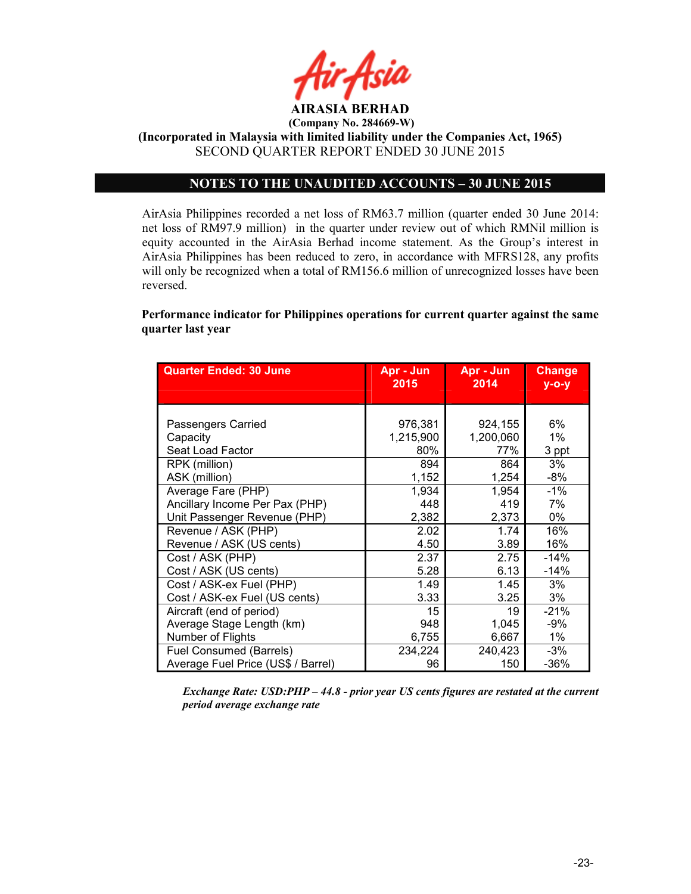

(Incorporated in Malaysia with limited liability under the Companies Act, 1965) SECOND QUARTER REPORT ENDED 30 JUNE 2015

## NOTES TO THE UNAUDITED ACCOUNTS – 30 JUNE 2015

AirAsia Philippines recorded a net loss of RM63.7 million (quarter ended 30 June 2014: net loss of RM97.9 million) in the quarter under review out of which RMNil million is equity accounted in the AirAsia Berhad income statement. As the Group's interest in AirAsia Philippines has been reduced to zero, in accordance with MFRS128, any profits will only be recognized when a total of RM156.6 million of unrecognized losses have been reversed.

Performance indicator for Philippines operations for current quarter against the same quarter last year

| <b>Quarter Ended: 30 June</b>      | Apr - Jun<br>2015 | Apr - Jun<br>2014 | <b>Change</b><br>$V - O - V$ |
|------------------------------------|-------------------|-------------------|------------------------------|
|                                    |                   |                   |                              |
|                                    |                   |                   |                              |
| Passengers Carried                 | 976,381           | 924,155           | 6%                           |
| Capacity                           | 1,215,900         | 1,200,060         | 1%                           |
| Seat Load Factor                   | 80%               | 77%               | 3 ppt                        |
| RPK (million)                      | 894               | 864               | 3%                           |
| ASK (million)                      | 1,152             | 1,254             | $-8%$                        |
| Average Fare (PHP)                 | 1,934             | 1,954             | $-1%$                        |
| Ancillary Income Per Pax (PHP)     | 448               | 419               | 7%                           |
| Unit Passenger Revenue (PHP)       | 2,382             | 2,373             | 0%                           |
| Revenue / ASK (PHP)                | 2.02              | 1.74              | 16%                          |
| Revenue / ASK (US cents)           | 4.50              | 3.89              | 16%                          |
| Cost / ASK (PHP)                   | 2.37              | 2.75              | $-14%$                       |
| Cost / ASK (US cents)              | 5.28              | 6.13              | $-14%$                       |
| Cost / ASK-ex Fuel (PHP)           | 1.49              | 1.45              | 3%                           |
| Cost / ASK-ex Fuel (US cents)      | 3.33              | 3.25              | 3%                           |
| Aircraft (end of period)           | 15                | 19                | $-21%$                       |
| Average Stage Length (km)          | 948               | 1,045             | $-9%$                        |
| Number of Flights                  | 6,755             | 6,667             | $1\%$                        |
| Fuel Consumed (Barrels)            | 234,224           | 240,423           | $-3%$                        |
| Average Fuel Price (US\$ / Barrel) | 96                | 150               | $-36%$                       |

Exchange Rate: USD:PHP – 44.8 - prior year US cents figures are restated at the current period average exchange rate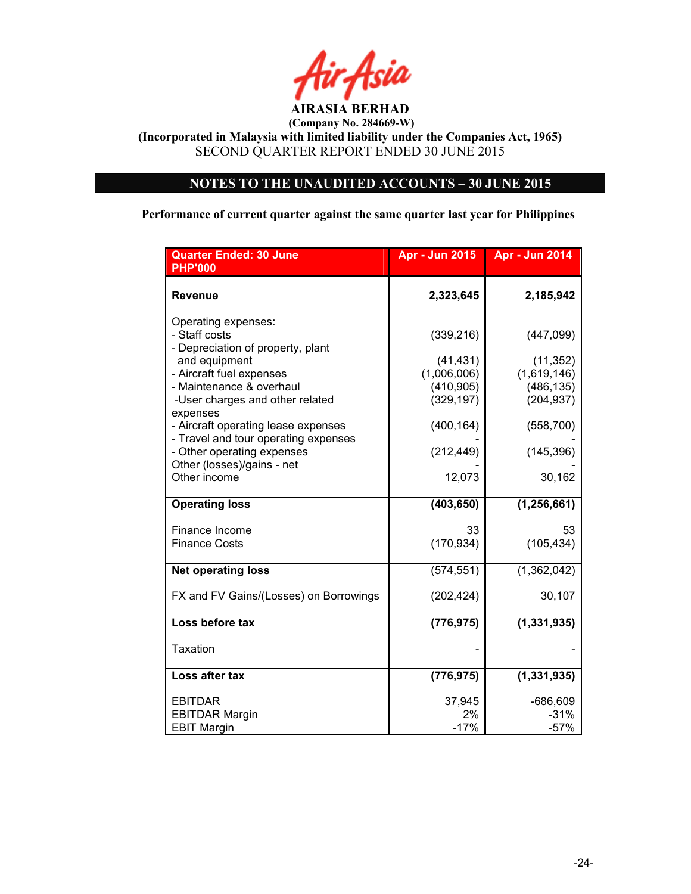

(Incorporated in Malaysia with limited liability under the Companies Act, 1965) SECOND QUARTER REPORT ENDED 30 JUNE 2015

# NOTES TO THE UNAUDITED ACCOUNTS – 30 JUNE 2015

Performance of current quarter against the same quarter last year for Philippines

| <b>Quarter Ended: 30 June</b><br><b>PHP'000</b>    | <b>Apr - Jun 2015</b> | <b>Apr - Jun 2014</b> |
|----------------------------------------------------|-----------------------|-----------------------|
|                                                    |                       |                       |
| Revenue                                            | 2,323,645             | 2,185,942             |
| Operating expenses:                                |                       |                       |
| - Staff costs                                      | (339, 216)            | (447,099)             |
| - Depreciation of property, plant<br>and equipment | (41, 431)             | (11, 352)             |
| - Aircraft fuel expenses                           | (1,006,006)           | (1,619,146)           |
| - Maintenance & overhaul                           | (410, 905)            | (486, 135)            |
| -User charges and other related<br>expenses        | (329, 197)            | (204, 937)            |
| - Aircraft operating lease expenses                | (400, 164)            | (558, 700)            |
| - Travel and tour operating expenses               |                       |                       |
| - Other operating expenses                         | (212, 449)            | (145, 396)            |
| Other (losses)/gains - net<br>Other income         | 12,073                | 30,162                |
|                                                    |                       |                       |
| <b>Operating loss</b>                              | (403, 650)            | (1, 256, 661)         |
| Finance Income                                     | 33                    | 53                    |
| <b>Finance Costs</b>                               | (170, 934)            | (105, 434)            |
|                                                    |                       |                       |
| <b>Net operating loss</b>                          | (574, 551)            | (1,362,042)           |
| FX and FV Gains/(Losses) on Borrowings             | (202, 424)            | 30,107                |
| Loss before tax                                    |                       |                       |
|                                                    | (776, 975)            | (1, 331, 935)         |
| Taxation                                           |                       |                       |
| Loss after tax                                     | (776, 975)            | (1, 331, 935)         |
|                                                    |                       |                       |
| <b>EBITDAR</b>                                     | 37,945                | $-686,609$            |
| <b>EBITDAR Margin</b>                              | 2%<br>$-17%$          | $-31%$                |
| <b>EBIT Margin</b>                                 |                       | $-57%$                |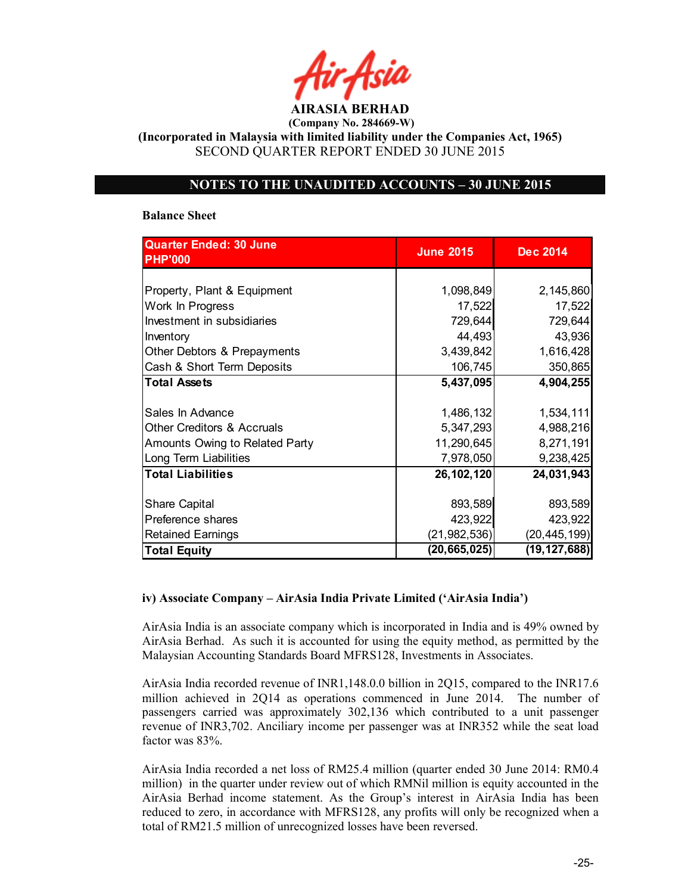AIRASIA BERHAD (Company No. 284669-W)

(Incorporated in Malaysia with limited liability under the Companies Act, 1965) SECOND QUARTER REPORT ENDED 30 JUNE 2015

## NOTES TO THE UNAUDITED ACCOUNTS – 30 JUNE 2015

#### Balance Sheet

| <b>Quarter Ended: 30 June</b>  | <b>June 2015</b> | <b>Dec 2014</b> |
|--------------------------------|------------------|-----------------|
| <b>PHP'000</b>                 |                  |                 |
|                                |                  |                 |
| Property, Plant & Equipment    | 1,098,849        | 2,145,860       |
| Work In Progress               | 17,522           | 17,522          |
| Investment in subsidiaries     | 729,644          | 729,644         |
| Inventory                      | 44,493           | 43,936          |
| Other Debtors & Prepayments    | 3,439,842        | 1,616,428       |
| Cash & Short Term Deposits     | 106,745          | 350,865         |
| <b>Total Assets</b>            | 5,437,095        | 4,904,255       |
|                                |                  |                 |
| Sales In Advance               | 1,486,132        | 1,534,111       |
| Other Creditors & Accruals     | 5,347,293        | 4,988,216       |
| Amounts Owing to Related Party | 11,290,645       | 8,271,191       |
| Long Term Liabilities          | 7,978,050        | 9,238,425       |
| <b>Total Liabilities</b>       | 26, 102, 120     | 24,031,943      |
|                                |                  |                 |
| <b>Share Capital</b>           | 893,589          | 893,589         |
| Preference shares              | 423,922          | 423,922         |
| <b>Retained Earnings</b>       | (21, 982, 536)   | (20, 445, 199)  |
| <b>Total Equity</b>            | (20, 665, 025)   | (19, 127, 688)  |

## iv) Associate Company – AirAsia India Private Limited ('AirAsia India')

AirAsia India is an associate company which is incorporated in India and is 49% owned by AirAsia Berhad. As such it is accounted for using the equity method, as permitted by the Malaysian Accounting Standards Board MFRS128, Investments in Associates.

AirAsia India recorded revenue of INR1,148.0.0 billion in 2Q15, compared to the INR17.6 million achieved in 2Q14 as operations commenced in June 2014. The number of passengers carried was approximately 302,136 which contributed to a unit passenger revenue of INR3,702. Anciliary income per passenger was at INR352 while the seat load factor was 83%.

AirAsia India recorded a net loss of RM25.4 million (quarter ended 30 June 2014: RM0.4 million) in the quarter under review out of which RMNil million is equity accounted in the AirAsia Berhad income statement. As the Group's interest in AirAsia India has been reduced to zero, in accordance with MFRS128, any profits will only be recognized when a total of RM21.5 million of unrecognized losses have been reversed.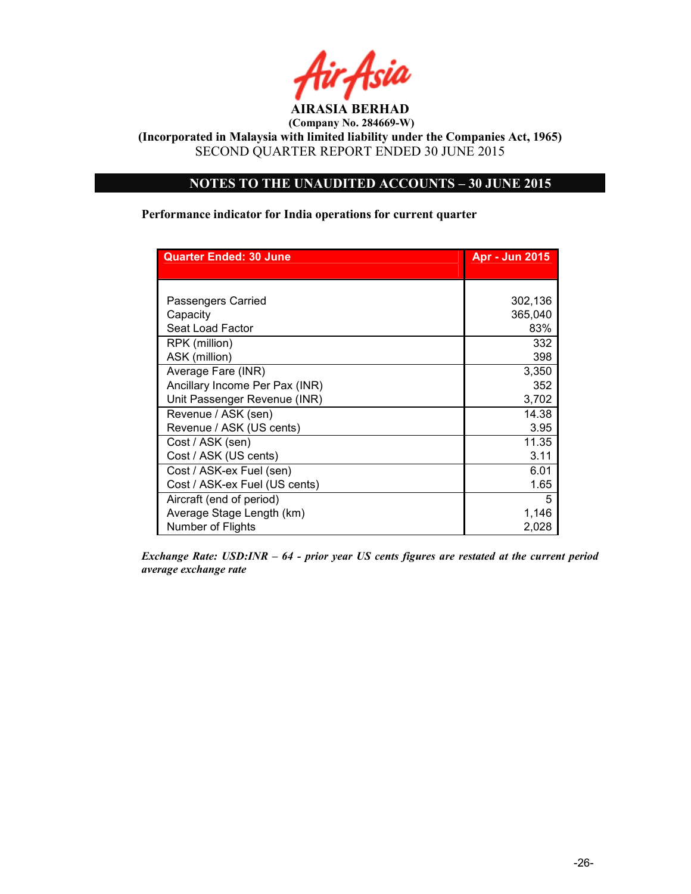

(Incorporated in Malaysia with limited liability under the Companies Act, 1965) SECOND QUARTER REPORT ENDED 30 JUNE 2015

# NOTES TO THE UNAUDITED ACCOUNTS – 30 JUNE 2015

Performance indicator for India operations for current quarter

| <b>Quarter Ended: 30 June</b>  | <b>Apr - Jun 2015</b> |
|--------------------------------|-----------------------|
|                                |                       |
|                                |                       |
| Passengers Carried             | 302,136               |
| Capacity                       | 365,040               |
| Seat Load Factor               | 83%                   |
| RPK (million)                  | 332                   |
| ASK (million)                  | 398                   |
| Average Fare (INR)             | 3,350                 |
| Ancillary Income Per Pax (INR) | 352                   |
| Unit Passenger Revenue (INR)   | 3,702                 |
| Revenue / ASK (sen)            | 14.38                 |
| Revenue / ASK (US cents)       | 3.95                  |
| Cost / ASK (sen)               | 11.35                 |
| Cost / ASK (US cents)          | 3.11                  |
| Cost / ASK-ex Fuel (sen)       | 6.01                  |
| Cost / ASK-ex Fuel (US cents)  | 1.65                  |
| Aircraft (end of period)       | 5                     |
| Average Stage Length (km)      | 1,146                 |
| Number of Flights              | 2,028                 |

Exchange Rate: USD:INR – 64 - prior year US cents figures are restated at the current period average exchange rate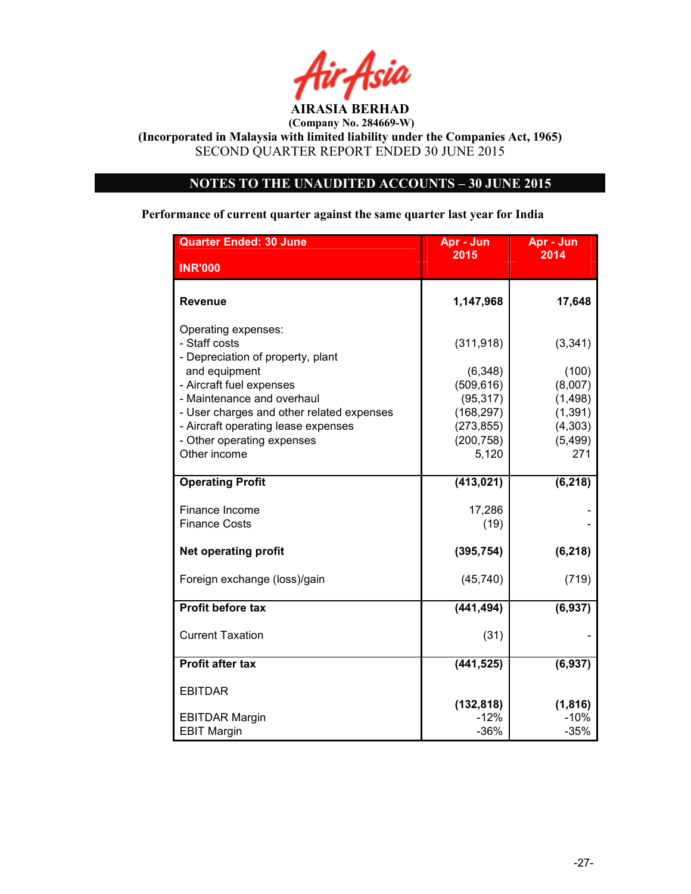

(Incorporated in Malaysia with limited liability under the Companies Act, 1965) SECOND QUARTER REPORT ENDED 30 JUNE 2015

# NOTES TO THE UNAUDITED ACCOUNTS – 30 JUNE 2015

Performance of current quarter against the same quarter last year for India

| <b>Quarter Ended: 30 June</b>                                                                                                                                                                                                                                          | Apr - Jun                                                                                   | Apr - Jun                                                                  |
|------------------------------------------------------------------------------------------------------------------------------------------------------------------------------------------------------------------------------------------------------------------------|---------------------------------------------------------------------------------------------|----------------------------------------------------------------------------|
| <b>INR'000</b>                                                                                                                                                                                                                                                         | 2015                                                                                        | 2014                                                                       |
| <b>Revenue</b>                                                                                                                                                                                                                                                         | 1,147,968                                                                                   | 17,648                                                                     |
| Operating expenses:<br>- Staff costs<br>- Depreciation of property, plant<br>and equipment<br>- Aircraft fuel expenses<br>- Maintenance and overhaul<br>- User charges and other related expenses<br>- Aircraft operating lease expenses<br>- Other operating expenses | (311, 918)<br>(6, 348)<br>(509, 616)<br>(95, 317)<br>(168, 297)<br>(273, 855)<br>(200, 758) | (3, 341)<br>(100)<br>(8,007)<br>(1,498)<br>(1, 391)<br>(4,303)<br>(5, 499) |
| Other income                                                                                                                                                                                                                                                           | 5,120                                                                                       | 271                                                                        |
| <b>Operating Profit</b>                                                                                                                                                                                                                                                | (413, 021)                                                                                  | (6, 218)                                                                   |
| Finance Income<br><b>Finance Costs</b>                                                                                                                                                                                                                                 | 17,286<br>(19)                                                                              |                                                                            |
| <b>Net operating profit</b>                                                                                                                                                                                                                                            | (395, 754)                                                                                  | (6, 218)                                                                   |
| Foreign exchange (loss)/gain                                                                                                                                                                                                                                           | (45, 740)                                                                                   | (719)                                                                      |
| Profit before tax                                                                                                                                                                                                                                                      | (441, 494)                                                                                  | (6, 937)                                                                   |
| <b>Current Taxation</b>                                                                                                                                                                                                                                                | (31)                                                                                        |                                                                            |
| <b>Profit after tax</b>                                                                                                                                                                                                                                                | (441, 525)                                                                                  | (6, 937)                                                                   |
| <b>EBITDAR</b>                                                                                                                                                                                                                                                         | (132, 818)                                                                                  | (1, 816)                                                                   |
| <b>EBITDAR Margin</b><br><b>EBIT Margin</b>                                                                                                                                                                                                                            | $-12%$<br>$-36%$                                                                            | $-10%$<br>$-35%$                                                           |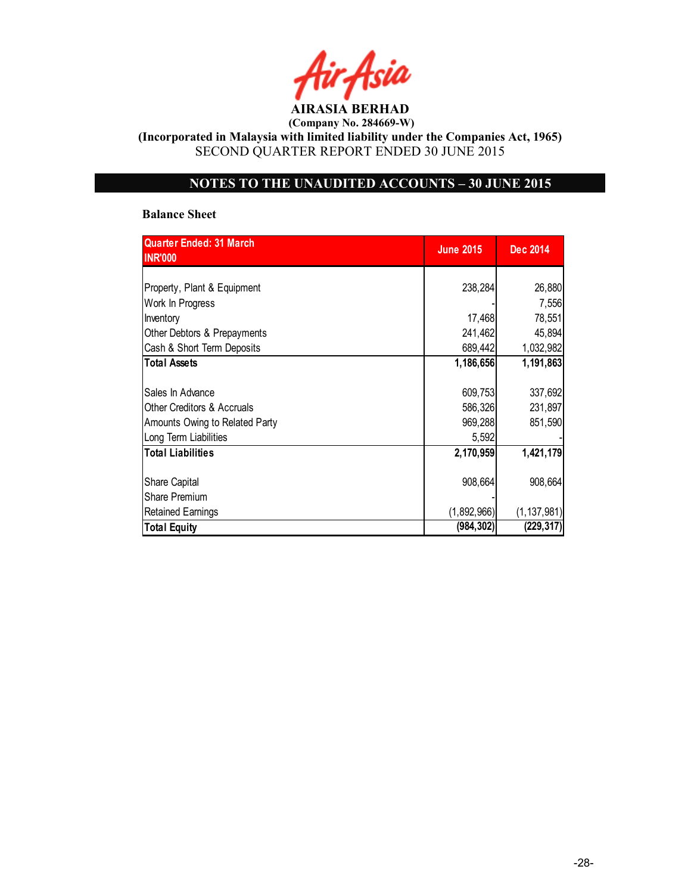AIRASIA BERHAD

(Incorporated in Malaysia with limited liability under the Companies Act, 1965) SECOND QUARTER REPORT ENDED 30 JUNE 2015

# NOTES TO THE UNAUDITED ACCOUNTS – 30 JUNE 2015

#### Balance Sheet

| <b>Quarter Ended: 31 March</b><br><b>INR'000</b> | <b>June 2015</b> | Dec 2014      |
|--------------------------------------------------|------------------|---------------|
|                                                  |                  |               |
| Property, Plant & Equipment                      | 238,284          | 26,880        |
| Work In Progress                                 |                  | 7,556         |
| Inventory                                        | 17,468           | 78,551        |
| Other Debtors & Prepayments                      | 241,462          | 45,894        |
| Cash & Short Term Deposits                       | 689,442          | 1,032,982     |
| <b>Total Assets</b>                              | 1,186,656        | 1,191,863     |
|                                                  |                  |               |
| Sales In Advance                                 | 609,753          | 337,692       |
| <b>Other Creditors &amp; Accruals</b>            | 586,326          | 231,897       |
| Amounts Owing to Related Party                   | 969,288          | 851,590       |
| Long Term Liabilities                            | 5,592            |               |
| <b>Total Liabilities</b>                         | 2,170,959        | 1,421,179     |
|                                                  |                  |               |
| Share Capital                                    | 908,664          | 908,664       |
| <b>Share Premium</b>                             |                  |               |
| <b>Retained Earnings</b>                         | (1,892,966)      | (1, 137, 981) |
| <b>Total Equity</b>                              | (984, 302)       | (229,317)     |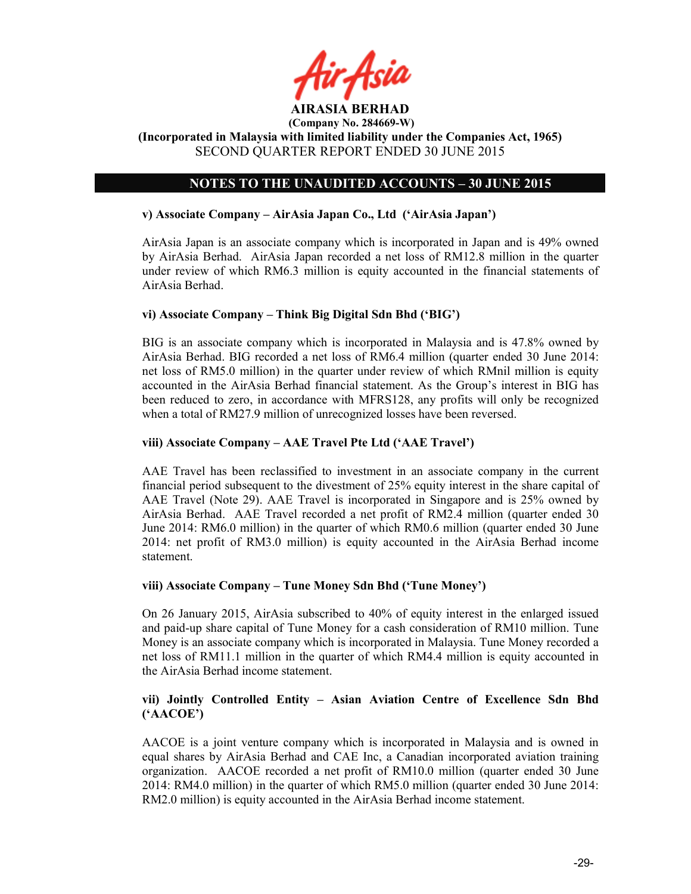

# NOTES TO THE UNAUDITED ACCOUNTS – 30 JUNE 2015

## v) Associate Company – AirAsia Japan Co., Ltd ('AirAsia Japan')

AirAsia Japan is an associate company which is incorporated in Japan and is 49% owned by AirAsia Berhad. AirAsia Japan recorded a net loss of RM12.8 million in the quarter under review of which RM6.3 million is equity accounted in the financial statements of AirAsia Berhad.

## vi) Associate Company – Think Big Digital Sdn Bhd ('BIG')

BIG is an associate company which is incorporated in Malaysia and is 47.8% owned by AirAsia Berhad. BIG recorded a net loss of RM6.4 million (quarter ended 30 June 2014: net loss of RM5.0 million) in the quarter under review of which RMnil million is equity accounted in the AirAsia Berhad financial statement. As the Group's interest in BIG has been reduced to zero, in accordance with MFRS128, any profits will only be recognized when a total of RM27.9 million of unrecognized losses have been reversed.

## viii) Associate Company – AAE Travel Pte Ltd ('AAE Travel')

AAE Travel has been reclassified to investment in an associate company in the current financial period subsequent to the divestment of 25% equity interest in the share capital of AAE Travel (Note 29). AAE Travel is incorporated in Singapore and is 25% owned by AirAsia Berhad. AAE Travel recorded a net profit of RM2.4 million (quarter ended 30 June 2014: RM6.0 million) in the quarter of which RM0.6 million (quarter ended 30 June 2014: net profit of RM3.0 million) is equity accounted in the AirAsia Berhad income statement.

## viii) Associate Company – Tune Money Sdn Bhd ('Tune Money')

On 26 January 2015, AirAsia subscribed to 40% of equity interest in the enlarged issued and paid-up share capital of Tune Money for a cash consideration of RM10 million. Tune Money is an associate company which is incorporated in Malaysia. Tune Money recorded a net loss of RM11.1 million in the quarter of which RM4.4 million is equity accounted in the AirAsia Berhad income statement.

## vii) Jointly Controlled Entity – Asian Aviation Centre of Excellence Sdn Bhd ('AACOE')

AACOE is a joint venture company which is incorporated in Malaysia and is owned in equal shares by AirAsia Berhad and CAE Inc, a Canadian incorporated aviation training organization. AACOE recorded a net profit of RM10.0 million (quarter ended 30 June 2014: RM4.0 million) in the quarter of which RM5.0 million (quarter ended 30 June 2014: RM2.0 million) is equity accounted in the AirAsia Berhad income statement.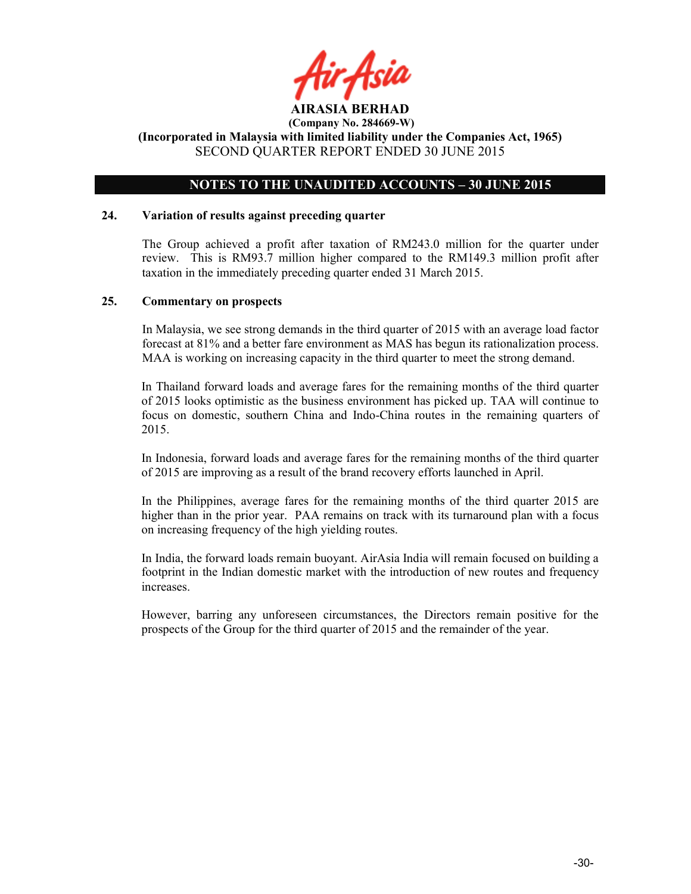

## NOTES TO THE UNAUDITED ACCOUNTS – 30 JUNE 2015

#### 24. Variation of results against preceding quarter

The Group achieved a profit after taxation of RM243.0 million for the quarter under review. This is RM93.7 million higher compared to the RM149.3 million profit after taxation in the immediately preceding quarter ended 31 March 2015.

#### 25. Commentary on prospects

In Malaysia, we see strong demands in the third quarter of 2015 with an average load factor forecast at 81% and a better fare environment as MAS has begun its rationalization process. MAA is working on increasing capacity in the third quarter to meet the strong demand.

In Thailand forward loads and average fares for the remaining months of the third quarter of 2015 looks optimistic as the business environment has picked up. TAA will continue to focus on domestic, southern China and Indo-China routes in the remaining quarters of 2015.

In Indonesia, forward loads and average fares for the remaining months of the third quarter of 2015 are improving as a result of the brand recovery efforts launched in April.

In the Philippines, average fares for the remaining months of the third quarter 2015 are higher than in the prior year. PAA remains on track with its turnaround plan with a focus on increasing frequency of the high yielding routes.

In India, the forward loads remain buoyant. AirAsia India will remain focused on building a footprint in the Indian domestic market with the introduction of new routes and frequency increases.

However, barring any unforeseen circumstances, the Directors remain positive for the prospects of the Group for the third quarter of 2015 and the remainder of the year.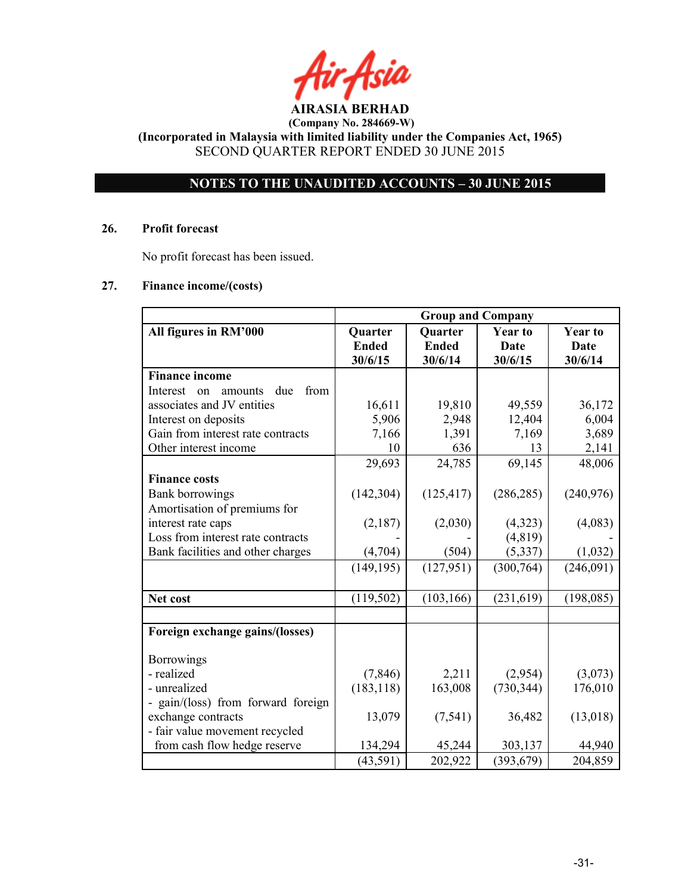# NOTES TO THE UNAUDITED ACCOUNTS – 30 JUNE 2015

#### 26. Profit forecast

No profit forecast has been issued.

## 27. Finance income/(costs)

|                                          | <b>Group and Company</b> |                |                |                |
|------------------------------------------|--------------------------|----------------|----------------|----------------|
| All figures in RM'000                    | Quarter                  | <b>Quarter</b> | <b>Year to</b> | <b>Year to</b> |
|                                          | <b>Ended</b>             | <b>Ended</b>   | Date           | <b>Date</b>    |
|                                          | 30/6/15                  | 30/6/14        | 30/6/15        | 30/6/14        |
| <b>Finance income</b>                    |                          |                |                |                |
| Interest<br>due<br>from<br>on<br>amounts |                          |                |                |                |
| associates and JV entities               | 16,611                   | 19,810         | 49,559         | 36,172         |
| Interest on deposits                     | 5,906                    | 2,948          | 12,404         | 6,004          |
| Gain from interest rate contracts        | 7,166                    | 1,391          | 7,169          | 3,689          |
| Other interest income                    | 10                       | 636            | 13             | 2,141          |
|                                          | 29,693                   | 24,785         | 69,145         | 48,006         |
| <b>Finance costs</b>                     |                          |                |                |                |
| <b>Bank borrowings</b>                   | (142, 304)               | (125, 417)     | (286, 285)     | (240, 976)     |
| Amortisation of premiums for             |                          |                |                |                |
| interest rate caps                       | (2,187)                  | (2,030)        | (4,323)        | (4,083)        |
| Loss from interest rate contracts        |                          |                | (4, 819)       |                |
| Bank facilities and other charges        | (4,704)                  | (504)          | (5, 337)       | (1,032)        |
|                                          | (149, 195)               | (127, 951)     | (300, 764)     | (246,091)      |
|                                          |                          |                |                |                |
| Net cost                                 | (119, 502)               | (103, 166)     | (231, 619)     | (198, 085)     |
|                                          |                          |                |                |                |
| Foreign exchange gains/(losses)          |                          |                |                |                |
| <b>Borrowings</b>                        |                          |                |                |                |
| - realized                               | (7, 846)                 | 2,211          | (2,954)        | (3,073)        |
| - unrealized                             | (183, 118)               | 163,008        | (730, 344)     | 176,010        |
| - gain/(loss) from forward foreign       |                          |                |                |                |
| exchange contracts                       | 13,079                   | (7, 541)       | 36,482         | (13,018)       |
| - fair value movement recycled           |                          |                |                |                |
| from cash flow hedge reserve             | 134,294                  | 45,244         | 303,137        | 44,940         |
|                                          | (43,591)                 | 202,922        | (393, 679)     | 204,859        |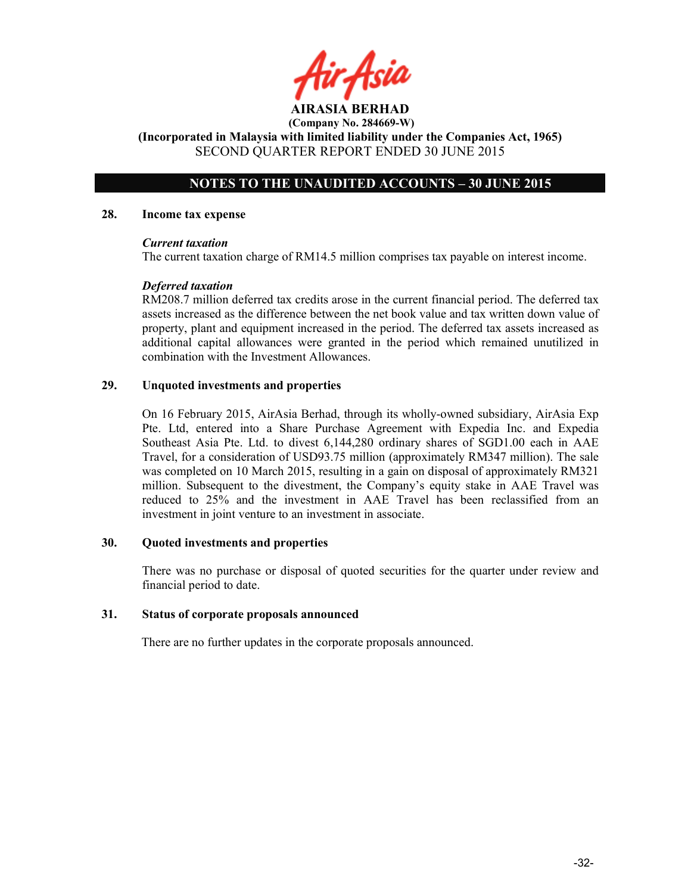# NOTES TO THE UNAUDITED ACCOUNTS – 30 JUNE 2015

#### 28. Income tax expense

#### Current taxation

The current taxation charge of RM14.5 million comprises tax payable on interest income.

## Deferred taxation

RM208.7 million deferred tax credits arose in the current financial period. The deferred tax assets increased as the difference between the net book value and tax written down value of property, plant and equipment increased in the period. The deferred tax assets increased as additional capital allowances were granted in the period which remained unutilized in combination with the Investment Allowances.

## 29. Unquoted investments and properties

On 16 February 2015, AirAsia Berhad, through its wholly-owned subsidiary, AirAsia Exp Pte. Ltd, entered into a Share Purchase Agreement with Expedia Inc. and Expedia Southeast Asia Pte. Ltd. to divest 6,144,280 ordinary shares of SGD1.00 each in AAE Travel, for a consideration of USD93.75 million (approximately RM347 million). The sale was completed on 10 March 2015, resulting in a gain on disposal of approximately RM321 million. Subsequent to the divestment, the Company's equity stake in AAE Travel was reduced to 25% and the investment in AAE Travel has been reclassified from an investment in joint venture to an investment in associate.

## 30. Quoted investments and properties

There was no purchase or disposal of quoted securities for the quarter under review and financial period to date.

## 31. Status of corporate proposals announced

There are no further updates in the corporate proposals announced.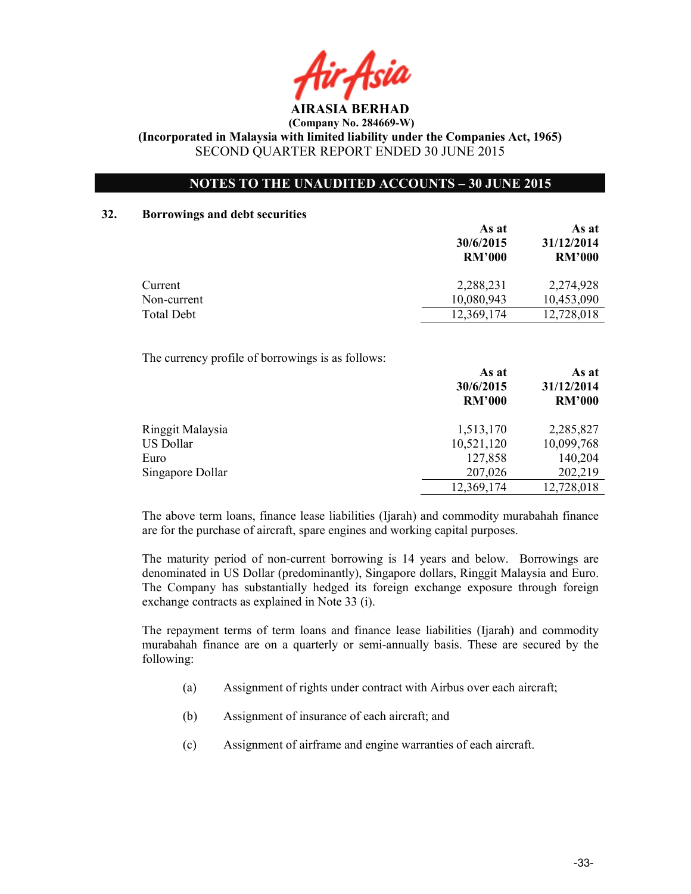AIRASIA BERHAD

# NOTES TO THE UNAUDITED ACCOUNTS – 30 JUNE 2015

#### 32. Borrowings and debt securities

|             | As at<br>30/6/2015<br><b>RM'000</b> | As at<br>31/12/2014<br><b>RM'000</b> |
|-------------|-------------------------------------|--------------------------------------|
| Current     | 2,288,231                           | 2,274,928                            |
| Non-current | 10,080,943                          | 10,453,090                           |
| Total Debt  | 12,369,174                          | 12,728,018                           |

The currency profile of borrowings is as follows:

|                  | As at<br>30/6/2015<br><b>RM'000</b> | As at<br>31/12/2014<br><b>RM'000</b> |
|------------------|-------------------------------------|--------------------------------------|
| Ringgit Malaysia | 1,513,170                           | 2,285,827                            |
| US Dollar        | 10,521,120                          | 10,099,768                           |
| Euro             | 127,858                             | 140,204                              |
| Singapore Dollar | 207,026                             | 202,219                              |
|                  | 12,369,174                          | 12,728,018                           |

The above term loans, finance lease liabilities (Ijarah) and commodity murabahah finance are for the purchase of aircraft, spare engines and working capital purposes.

The maturity period of non-current borrowing is 14 years and below. Borrowings are denominated in US Dollar (predominantly), Singapore dollars, Ringgit Malaysia and Euro. The Company has substantially hedged its foreign exchange exposure through foreign exchange contracts as explained in Note 33 (i).

The repayment terms of term loans and finance lease liabilities (Ijarah) and commodity murabahah finance are on a quarterly or semi-annually basis. These are secured by the following:

- (a) Assignment of rights under contract with Airbus over each aircraft;
- (b) Assignment of insurance of each aircraft; and
- (c) Assignment of airframe and engine warranties of each aircraft.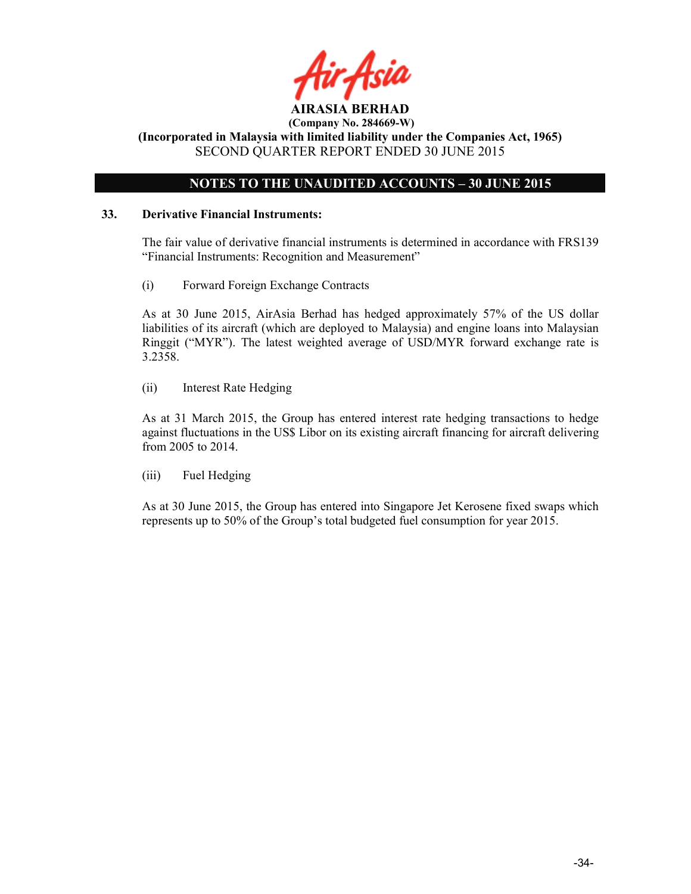

# NOTES TO THE UNAUDITED ACCOUNTS – 30 JUNE 2015

## 33. Derivative Financial Instruments:

The fair value of derivative financial instruments is determined in accordance with FRS139 "Financial Instruments: Recognition and Measurement"

(i) Forward Foreign Exchange Contracts

As at 30 June 2015, AirAsia Berhad has hedged approximately 57% of the US dollar liabilities of its aircraft (which are deployed to Malaysia) and engine loans into Malaysian Ringgit ("MYR"). The latest weighted average of USD/MYR forward exchange rate is 3.2358.

(ii) Interest Rate Hedging

As at 31 March 2015, the Group has entered interest rate hedging transactions to hedge against fluctuations in the US\$ Libor on its existing aircraft financing for aircraft delivering from 2005 to 2014.

(iii) Fuel Hedging

As at 30 June 2015, the Group has entered into Singapore Jet Kerosene fixed swaps which represents up to 50% of the Group's total budgeted fuel consumption for year 2015.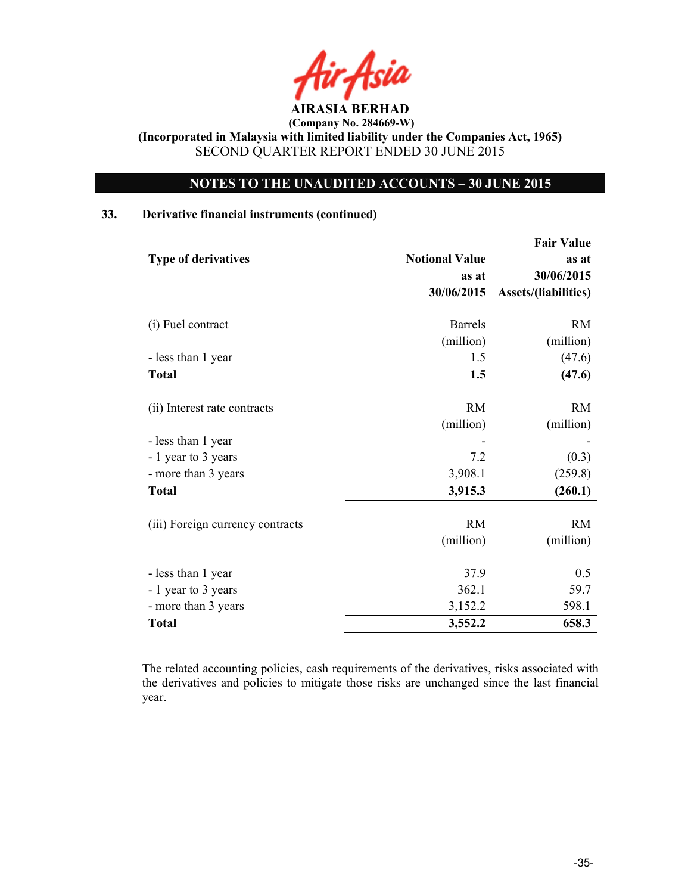AIRASIA BERHAD

# NOTES TO THE UNAUDITED ACCOUNTS – 30 JUNE 2015

## 33. Derivative financial instruments (continued)

|                                  |                       | <b>Fair Value</b>           |
|----------------------------------|-----------------------|-----------------------------|
| <b>Type of derivatives</b>       | <b>Notional Value</b> | as at                       |
|                                  | as at                 | 30/06/2015                  |
|                                  | 30/06/2015            | <b>Assets/(liabilities)</b> |
| (i) Fuel contract                | <b>Barrels</b>        | <b>RM</b>                   |
|                                  | (million)             | (million)                   |
| - less than 1 year               | 1.5                   | (47.6)                      |
| <b>Total</b>                     | 1.5                   | (47.6)                      |
|                                  |                       |                             |
| (ii) Interest rate contracts     | <b>RM</b>             | <b>RM</b>                   |
|                                  | (million)             | (million)                   |
| - less than 1 year               |                       |                             |
| - 1 year to 3 years              | 7.2                   | (0.3)                       |
| - more than 3 years              | 3,908.1               | (259.8)                     |
| <b>Total</b>                     | 3,915.3               | (260.1)                     |
|                                  |                       |                             |
| (iii) Foreign currency contracts | <b>RM</b>             | <b>RM</b>                   |
|                                  | (million)             | (million)                   |
| - less than 1 year               | 37.9                  | 0.5                         |
| - 1 year to 3 years              | 362.1                 | 59.7                        |
| - more than 3 years              | 3,152.2               | 598.1                       |
| <b>Total</b>                     | 3,552.2               | 658.3                       |

The related accounting policies, cash requirements of the derivatives, risks associated with the derivatives and policies to mitigate those risks are unchanged since the last financial year.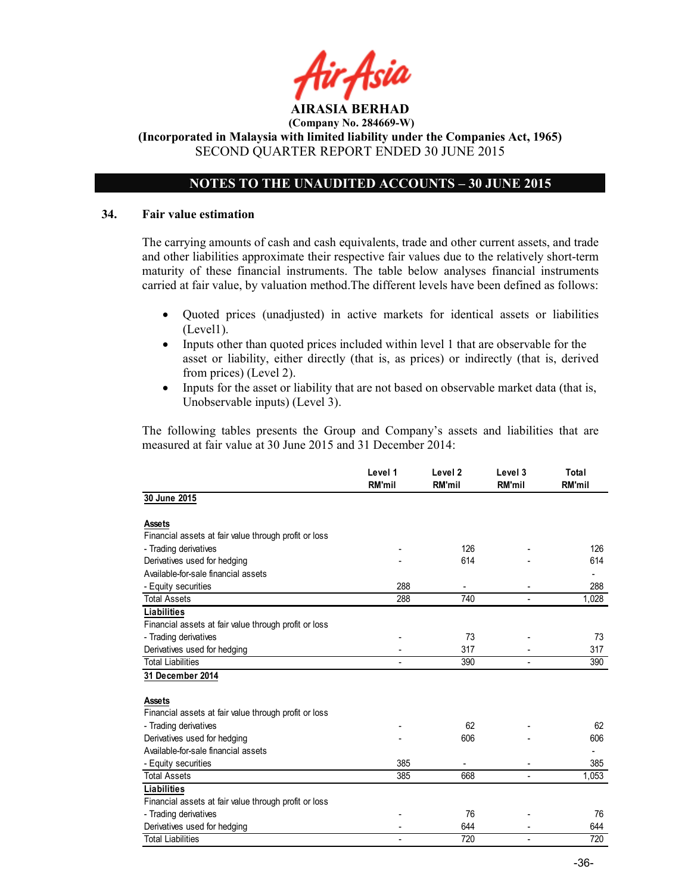# NOTES TO THE UNAUDITED ACCOUNTS – 30 JUNE 2015

### 34. Fair value estimation

The carrying amounts of cash and cash equivalents, trade and other current assets, and trade and other liabilities approximate their respective fair values due to the relatively short-term maturity of these financial instruments. The table below analyses financial instruments carried at fair value, by valuation method.The different levels have been defined as follows:

- Quoted prices (unadjusted) in active markets for identical assets or liabilities (Level1).
- Inputs other than quoted prices included within level 1 that are observable for the asset or liability, either directly (that is, as prices) or indirectly (that is, derived from prices) (Level 2).
- Inputs for the asset or liability that are not based on observable market data (that is, Unobservable inputs) (Level 3).

The following tables presents the Group and Company's assets and liabilities that are measured at fair value at 30 June 2015 and 31 December 2014:

|                                                       | Level 1<br><b>RM'mil</b> | Level <sub>2</sub><br><b>RM'mil</b> | Level 3<br><b>RM'mil</b> | Total<br><b>RM'mil</b> |
|-------------------------------------------------------|--------------------------|-------------------------------------|--------------------------|------------------------|
| 30 June 2015                                          |                          |                                     |                          |                        |
| <b>Assets</b>                                         |                          |                                     |                          |                        |
| Financial assets at fair value through profit or loss |                          |                                     |                          |                        |
| - Trading derivatives                                 |                          | 126                                 |                          | 126                    |
| Derivatives used for hedging                          |                          | 614                                 |                          | 614                    |
| Available-for-sale financial assets                   |                          |                                     |                          |                        |
| - Equity securities                                   | 288                      |                                     |                          | 288                    |
| <b>Total Assets</b>                                   | 288                      | 740                                 |                          | 1,028                  |
| Liabilities                                           |                          |                                     |                          |                        |
| Financial assets at fair value through profit or loss |                          |                                     |                          |                        |
| - Trading derivatives                                 |                          | 73                                  |                          | 73                     |
| Derivatives used for hedging                          |                          | 317                                 |                          | 317                    |
| <b>Total Liabilities</b>                              |                          | 390                                 |                          | 390                    |
| 31 December 2014                                      |                          |                                     |                          |                        |
| <b>Assets</b>                                         |                          |                                     |                          |                        |
| Financial assets at fair value through profit or loss |                          |                                     |                          |                        |
| - Trading derivatives                                 |                          | 62                                  |                          | 62                     |
| Derivatives used for hedging                          |                          | 606                                 |                          | 606                    |
| Available-for-sale financial assets                   |                          |                                     |                          |                        |
| - Equity securities                                   | 385                      |                                     |                          | 385                    |
| <b>Total Assets</b>                                   | 385                      | 668                                 |                          | 1,053                  |
| <b>Liabilities</b>                                    |                          |                                     |                          |                        |
| Financial assets at fair value through profit or loss |                          |                                     |                          |                        |
| - Trading derivatives                                 |                          | 76                                  |                          | 76                     |
| Derivatives used for hedging                          |                          | 644                                 |                          | 644                    |
| <b>Total Liabilities</b>                              | $\blacksquare$           | 720                                 |                          | 720                    |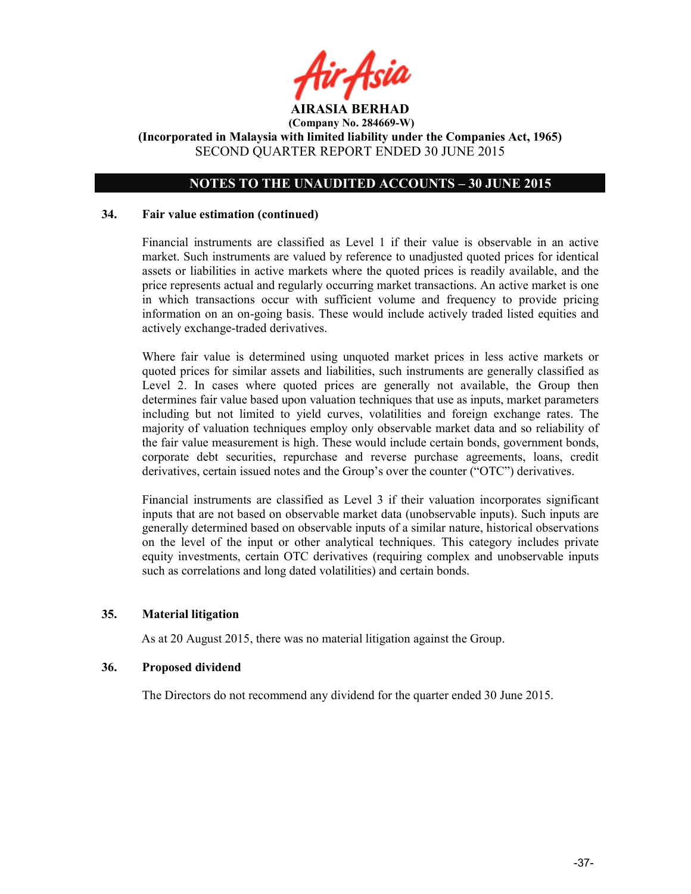

# NOTES TO THE UNAUDITED ACCOUNTS – 30 JUNE 2015

## 34. Fair value estimation (continued)

Financial instruments are classified as Level 1 if their value is observable in an active market. Such instruments are valued by reference to unadjusted quoted prices for identical assets or liabilities in active markets where the quoted prices is readily available, and the price represents actual and regularly occurring market transactions. An active market is one in which transactions occur with sufficient volume and frequency to provide pricing information on an on-going basis. These would include actively traded listed equities and actively exchange-traded derivatives.

Where fair value is determined using unquoted market prices in less active markets or quoted prices for similar assets and liabilities, such instruments are generally classified as Level 2. In cases where quoted prices are generally not available, the Group then determines fair value based upon valuation techniques that use as inputs, market parameters including but not limited to yield curves, volatilities and foreign exchange rates. The majority of valuation techniques employ only observable market data and so reliability of the fair value measurement is high. These would include certain bonds, government bonds, corporate debt securities, repurchase and reverse purchase agreements, loans, credit derivatives, certain issued notes and the Group's over the counter ("OTC") derivatives.

Financial instruments are classified as Level 3 if their valuation incorporates significant inputs that are not based on observable market data (unobservable inputs). Such inputs are generally determined based on observable inputs of a similar nature, historical observations on the level of the input or other analytical techniques. This category includes private equity investments, certain OTC derivatives (requiring complex and unobservable inputs such as correlations and long dated volatilities) and certain bonds.

## 35. Material litigation

As at 20 August 2015, there was no material litigation against the Group.

## 36. Proposed dividend

The Directors do not recommend any dividend for the quarter ended 30 June 2015.